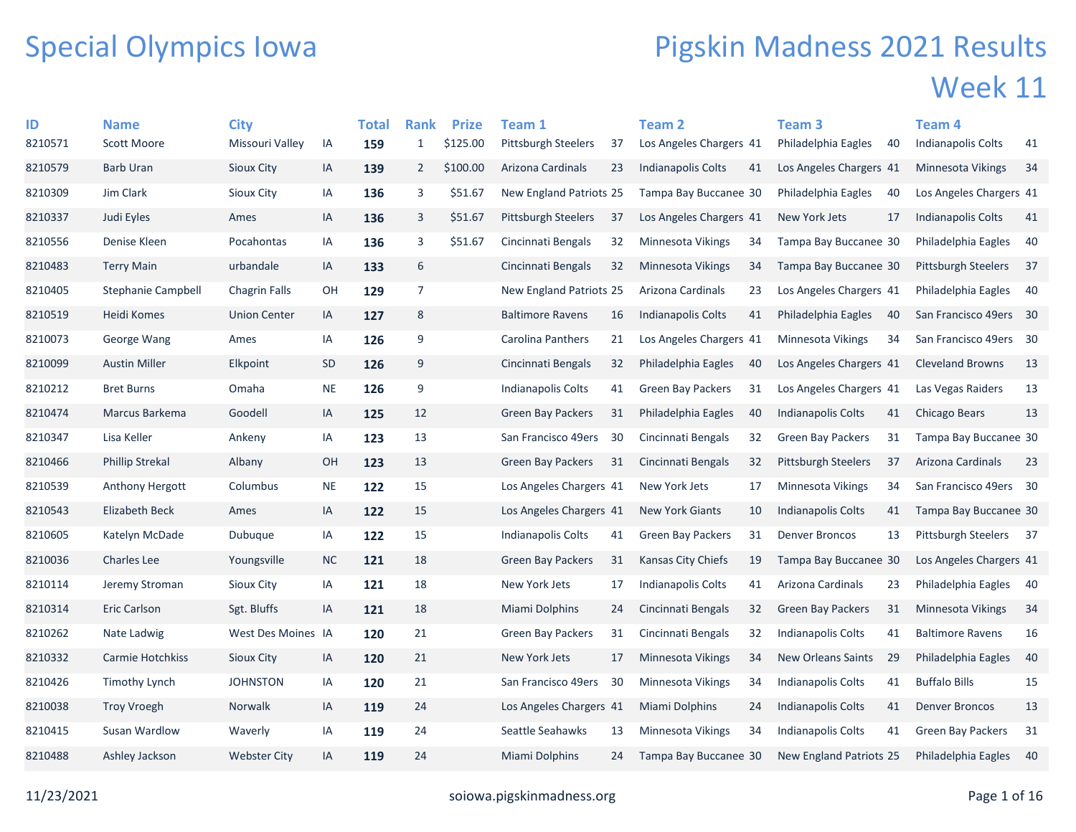## Special Olympics Iowa

## Pigskin Madness 2021 Results Week 11

| ID      | <b>Name</b>            | <b>City</b>          |           | <b>Total</b> | <b>Rank</b>    | <b>Prize</b> | Team 1                     |    | <b>Team 2</b>             |    | Team <sub>3</sub>          |    | Team 4                     |      |
|---------|------------------------|----------------------|-----------|--------------|----------------|--------------|----------------------------|----|---------------------------|----|----------------------------|----|----------------------------|------|
| 8210571 | Scott Moore            | Missouri Valley      | IA        | 159          | $\mathbf{1}$   | \$125.00     | <b>Pittsburgh Steelers</b> | 37 | Los Angeles Chargers 41   |    | Philadelphia Eagles        | 40 | Indianapolis Colts         | 41   |
| 8210579 | <b>Barb Uran</b>       | Sioux City           | IA        | 139          | $\overline{2}$ | \$100.00     | Arizona Cardinals          | 23 | <b>Indianapolis Colts</b> | 41 | Los Angeles Chargers 41    |    | Minnesota Vikings          | 34   |
| 8210309 | Jim Clark              | Sioux City           | IA        | 136          | 3              | \$51.67      | New England Patriots 25    |    | Tampa Bay Buccanee 30     |    | Philadelphia Eagles        | 40 | Los Angeles Chargers 41    |      |
| 8210337 | Judi Eyles             | Ames                 | ΙA        | 136          | 3              | \$51.67      | Pittsburgh Steelers        | 37 | Los Angeles Chargers 41   |    | New York Jets              | 17 | Indianapolis Colts         | 41   |
| 8210556 | Denise Kleen           | Pocahontas           | IA        | 136          | 3              | \$51.67      | Cincinnati Bengals         | 32 | Minnesota Vikings         | 34 | Tampa Bay Buccanee 30      |    | Philadelphia Eagles        | 40   |
| 8210483 | <b>Terry Main</b>      | urbandale            | IA        | 133          | 6              |              | Cincinnati Bengals         | 32 | Minnesota Vikings         | 34 | Tampa Bay Buccanee 30      |    | Pittsburgh Steelers        | 37   |
| 8210405 | Stephanie Campbell     | <b>Chagrin Falls</b> | OH        | 129          | 7              |              | New England Patriots 25    |    | Arizona Cardinals         | 23 | Los Angeles Chargers 41    |    | Philadelphia Eagles        | 40   |
| 8210519 | Heidi Komes            | <b>Union Center</b>  | IA        | 127          | 8              |              | <b>Baltimore Ravens</b>    | 16 | Indianapolis Colts        | 41 | Philadelphia Eagles        | 40 | San Francisco 49ers 30     |      |
| 8210073 | George Wang            | Ames                 | ΙA        | 126          | 9              |              | Carolina Panthers          | 21 | Los Angeles Chargers 41   |    | Minnesota Vikings          | 34 | San Francisco 49ers 30     |      |
| 8210099 | <b>Austin Miller</b>   | Elkpoint             | <b>SD</b> | 126          | 9              |              | Cincinnati Bengals         | 32 | Philadelphia Eagles       | 40 | Los Angeles Chargers 41    |    | <b>Cleveland Browns</b>    | 13   |
| 8210212 | <b>Bret Burns</b>      | Omaha                | <b>NE</b> | 126          | 9              |              | Indianapolis Colts         | 41 | <b>Green Bay Packers</b>  | 31 | Los Angeles Chargers 41    |    | Las Vegas Raiders          | 13   |
| 8210474 | Marcus Barkema         | Goodell              | IA        | 125          | 12             |              | <b>Green Bay Packers</b>   | 31 | Philadelphia Eagles       | 40 | <b>Indianapolis Colts</b>  | 41 | Chicago Bears              | 13   |
| 8210347 | Lisa Keller            | Ankeny               | IA        | 123          | 13             |              | San Francisco 49ers        | 30 | Cincinnati Bengals        | 32 | <b>Green Bay Packers</b>   | 31 | Tampa Bay Buccanee 30      |      |
| 8210466 | <b>Phillip Strekal</b> | Albany               | <b>OH</b> | 123          | 13             |              | Green Bay Packers          | 31 | Cincinnati Bengals        | 32 | <b>Pittsburgh Steelers</b> | 37 | Arizona Cardinals          | 23   |
| 8210539 | Anthony Hergott        | Columbus             | <b>NE</b> | 122          | 15             |              | Los Angeles Chargers 41    |    | New York Jets             | 17 | Minnesota Vikings          | 34 | San Francisco 49ers 30     |      |
| 8210543 | Elizabeth Beck         | Ames                 | IA        | 122          | 15             |              | Los Angeles Chargers 41    |    | <b>New York Giants</b>    | 10 | <b>Indianapolis Colts</b>  | 41 | Tampa Bay Buccanee 30      |      |
| 8210605 | Katelyn McDade         | Dubuque              | IA        | 122          | 15             |              | Indianapolis Colts         | 41 | Green Bay Packers         | 31 | <b>Denver Broncos</b>      | 13 | <b>Pittsburgh Steelers</b> | - 37 |
| 8210036 | <b>Charles Lee</b>     | Youngsville          | <b>NC</b> | 121          | 18             |              | <b>Green Bay Packers</b>   | 31 | Kansas City Chiefs        | 19 | Tampa Bay Buccanee 30      |    | Los Angeles Chargers 41    |      |
| 8210114 | Jeremy Stroman         | Sioux City           | ΙA        | 121          | 18             |              | New York Jets              | 17 | Indianapolis Colts        | 41 | Arizona Cardinals          | 23 | Philadelphia Eagles        | 40   |
| 8210314 | <b>Eric Carlson</b>    | Sgt. Bluffs          | IA        | 121          | 18             |              | Miami Dolphins             | 24 | Cincinnati Bengals        | 32 | <b>Green Bay Packers</b>   | 31 | <b>Minnesota Vikings</b>   | 34   |
| 8210262 | Nate Ladwig            | West Des Moines IA   |           | 120          | 21             |              | Green Bay Packers          | 31 | Cincinnati Bengals        | 32 | Indianapolis Colts         | 41 | <b>Baltimore Ravens</b>    | 16   |
| 8210332 | Carmie Hotchkiss       | Sioux City           | IA        | 120          | 21             |              | New York Jets              | 17 | Minnesota Vikings         | 34 | <b>New Orleans Saints</b>  | 29 | Philadelphia Eagles        | 40   |
| 8210426 | Timothy Lynch          | <b>JOHNSTON</b>      | IA        | 120          | 21             |              | San Francisco 49ers        | 30 | Minnesota Vikings         | 34 | <b>Indianapolis Colts</b>  | 41 | <b>Buffalo Bills</b>       | 15   |
| 8210038 | <b>Troy Vroegh</b>     | Norwalk              | IA        | 119          | 24             |              | Los Angeles Chargers 41    |    | Miami Dolphins            | 24 | <b>Indianapolis Colts</b>  | 41 | <b>Denver Broncos</b>      | 13   |
| 8210415 | Susan Wardlow          | Waverly              | IA        | 119          | 24             |              | Seattle Seahawks           | 13 | Minnesota Vikings         | 34 | Indianapolis Colts         | 41 | <b>Green Bay Packers</b>   | 31   |
| 8210488 | Ashley Jackson         | <b>Webster City</b>  | IA        | 119          | 24             |              | Miami Dolphins             | 24 | Tampa Bay Buccanee 30     |    | New England Patriots 25    |    | Philadelphia Eagles        | 40   |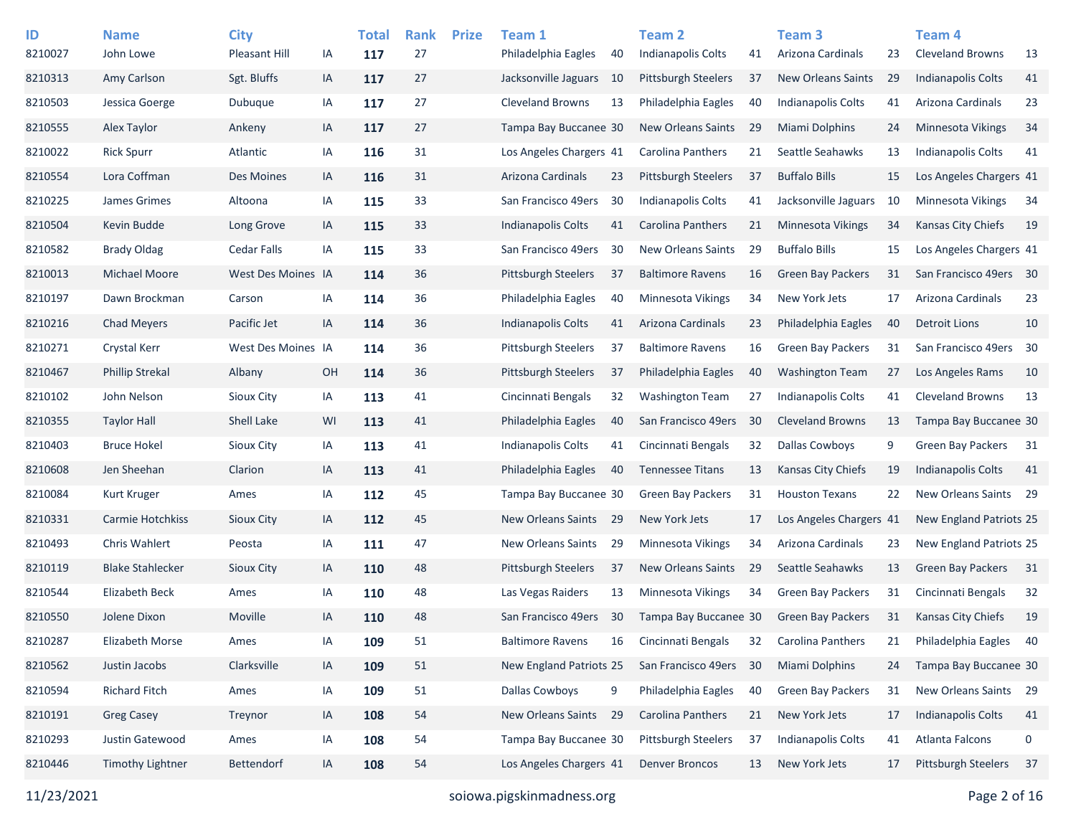| ID<br>8210027 | <b>Name</b><br>John Lowe | <b>City</b><br><b>Pleasant Hill</b> | IA | <b>Total</b><br>117 | <b>Rank</b><br>27 | <b>Prize</b> | Team 1<br>Philadelphia Eagles | 40  | <b>Team 2</b><br>Indianapolis Colts | 41 | Team <sub>3</sub><br>Arizona Cardinals | 23 | Team <sub>4</sub><br><b>Cleveland Browns</b> | 13   |
|---------------|--------------------------|-------------------------------------|----|---------------------|-------------------|--------------|-------------------------------|-----|-------------------------------------|----|----------------------------------------|----|----------------------------------------------|------|
| 8210313       | Amy Carlson              | Sgt. Bluffs                         | IA | 117                 | 27                |              | Jacksonville Jaguars          | 10  | <b>Pittsburgh Steelers</b>          | 37 | <b>New Orleans Saints</b>              | 29 | <b>Indianapolis Colts</b>                    | 41   |
| 8210503       | Jessica Goerge           | Dubuque                             | IA | 117                 | 27                |              | <b>Cleveland Browns</b>       | 13  | Philadelphia Eagles                 | 40 | Indianapolis Colts                     | 41 | Arizona Cardinals                            | 23   |
| 8210555       | Alex Taylor              | Ankeny                              | IA | 117                 | 27                |              | Tampa Bay Buccanee 30         |     | <b>New Orleans Saints</b>           | 29 | Miami Dolphins                         | 24 | <b>Minnesota Vikings</b>                     | 34   |
| 8210022       | <b>Rick Spurr</b>        | Atlantic                            | IA | 116                 | 31                |              | Los Angeles Chargers 41       |     | <b>Carolina Panthers</b>            | 21 | Seattle Seahawks                       | 13 | <b>Indianapolis Colts</b>                    | 41   |
| 8210554       | Lora Coffman             | Des Moines                          | IA | 116                 | 31                |              | Arizona Cardinals             | 23  | <b>Pittsburgh Steelers</b>          | 37 | <b>Buffalo Bills</b>                   | 15 | Los Angeles Chargers 41                      |      |
| 8210225       | James Grimes             | Altoona                             | IA | 115                 | 33                |              | San Francisco 49ers           | 30  | Indianapolis Colts                  | 41 | Jacksonville Jaguars                   | 10 | <b>Minnesota Vikings</b>                     | 34   |
| 8210504       | Kevin Budde              | Long Grove                          | IA | 115                 | 33                |              | Indianapolis Colts            | 41  | <b>Carolina Panthers</b>            | 21 | <b>Minnesota Vikings</b>               | 34 | <b>Kansas City Chiefs</b>                    | 19   |
| 8210582       | <b>Brady Oldag</b>       | <b>Cedar Falls</b>                  | IA | 115                 | 33                |              | San Francisco 49ers           | 30  | <b>New Orleans Saints</b>           | 29 | <b>Buffalo Bills</b>                   | 15 | Los Angeles Chargers 41                      |      |
| 8210013       | Michael Moore            | West Des Moines IA                  |    | 114                 | 36                |              | Pittsburgh Steelers           | 37  | <b>Baltimore Ravens</b>             | 16 | <b>Green Bay Packers</b>               | 31 | San Francisco 49ers 30                       |      |
| 8210197       | Dawn Brockman            | Carson                              | IA | 114                 | 36                |              | Philadelphia Eagles           | 40  | <b>Minnesota Vikings</b>            | 34 | New York Jets                          | 17 | Arizona Cardinals                            | 23   |
| 8210216       | <b>Chad Meyers</b>       | Pacific Jet                         | IA | 114                 | 36                |              | Indianapolis Colts            | 41  | Arizona Cardinals                   | 23 | Philadelphia Eagles                    | 40 | <b>Detroit Lions</b>                         | 10   |
| 8210271       | Crystal Kerr             | West Des Moines IA                  |    |                     | 36                |              |                               | 37  | <b>Baltimore Ravens</b>             |    | <b>Green Bay Packers</b>               |    | San Francisco 49ers 30                       |      |
|               |                          |                                     |    | 114                 |                   |              | <b>Pittsburgh Steelers</b>    |     |                                     | 16 |                                        | 31 |                                              |      |
| 8210467       | <b>Phillip Strekal</b>   | Albany                              | OH | 114                 | 36                |              | <b>Pittsburgh Steelers</b>    | 37  | Philadelphia Eagles                 | 40 | <b>Washington Team</b>                 | 27 | Los Angeles Rams                             | 10   |
| 8210102       | John Nelson              | Sioux City                          | IA | 113                 | 41                |              | Cincinnati Bengals            | 32  | <b>Washington Team</b>              | 27 | Indianapolis Colts                     | 41 | <b>Cleveland Browns</b>                      | 13   |
| 8210355       | <b>Taylor Hall</b>       | Shell Lake                          | WI | 113                 | 41                |              | Philadelphia Eagles           | 40  | San Francisco 49ers                 | 30 | <b>Cleveland Browns</b>                | 13 | Tampa Bay Buccanee 30                        |      |
| 8210403       | <b>Bruce Hokel</b>       | <b>Sioux City</b>                   | IA | 113                 | 41                |              | Indianapolis Colts            | 41  | Cincinnati Bengals                  | 32 | Dallas Cowboys                         | 9  | <b>Green Bay Packers</b>                     | 31   |
| 8210608       | Jen Sheehan              | Clarion                             | IA | 113                 | 41                |              | Philadelphia Eagles           | 40  | <b>Tennessee Titans</b>             | 13 | Kansas City Chiefs                     | 19 | <b>Indianapolis Colts</b>                    | 41   |
| 8210084       | Kurt Kruger              | Ames                                | IA | 112                 | 45                |              | Tampa Bay Buccanee 30         |     | Green Bay Packers                   | 31 | <b>Houston Texans</b>                  | 22 | New Orleans Saints 29                        |      |
| 8210331       | Carmie Hotchkiss         | Sioux City                          | IA | 112                 | 45                |              | <b>New Orleans Saints</b>     | 29  | New York Jets                       | 17 | Los Angeles Chargers 41                |    | New England Patriots 25                      |      |
| 8210493       | Chris Wahlert            | Peosta                              | IA | 111                 | 47                |              | New Orleans Saints            | 29  | Minnesota Vikings                   | 34 | Arizona Cardinals                      | 23 | New England Patriots 25                      |      |
| 8210119       | <b>Blake Stahlecker</b>  | <b>Sioux City</b>                   | IA | 110                 | 48                |              | <b>Pittsburgh Steelers</b>    | 37  | <b>New Orleans Saints</b>           | 29 | Seattle Seahawks                       | 13 | <b>Green Bay Packers</b>                     | - 31 |
| 8210544       | <b>Elizabeth Beck</b>    | Ames                                | IA | 110                 | 48                |              | Las Vegas Raiders             | 13  | Minnesota Vikings                   | 34 | <b>Green Bay Packers</b>               | 31 | Cincinnati Bengals                           | 32   |
| 8210550       | Jolene Dixon             | Moville                             | IA | 110                 | 48                |              | San Francisco 49ers           | 30  | Tampa Bay Buccanee 30               |    | <b>Green Bay Packers</b>               | 31 | <b>Kansas City Chiefs</b>                    | 19   |
| 8210287       | <b>Elizabeth Morse</b>   | Ames                                | IA | 109                 | 51                |              | <b>Baltimore Ravens</b>       | 16  | Cincinnati Bengals                  | 32 | Carolina Panthers                      | 21 | Philadelphia Eagles 40                       |      |
| 8210562       | Justin Jacobs            | Clarksville                         | IA | 109                 | 51                |              | New England Patriots 25       |     | San Francisco 49ers                 | 30 | Miami Dolphins                         | 24 | Tampa Bay Buccanee 30                        |      |
| 8210594       | <b>Richard Fitch</b>     | Ames                                | IA | 109                 | 51                |              | Dallas Cowboys                | 9   | Philadelphia Eagles                 | 40 | Green Bay Packers                      | 31 | New Orleans Saints 29                        |      |
| 8210191       | <b>Greg Casey</b>        | Treynor                             | IA | 108                 | 54                |              | New Orleans Saints            | -29 | Carolina Panthers                   | 21 | New York Jets                          | 17 | <b>Indianapolis Colts</b>                    | 41   |
| 8210293       | Justin Gatewood          | Ames                                | IA | 108                 | 54                |              | Tampa Bay Buccanee 30         |     | <b>Pittsburgh Steelers</b>          | 37 | Indianapolis Colts                     | 41 | Atlanta Falcons                              | 0    |
| 8210446       | <b>Timothy Lightner</b>  | Bettendorf                          | IA | 108                 | 54                |              | Los Angeles Chargers 41       |     | <b>Denver Broncos</b>               | 13 | New York Jets                          | 17 | Pittsburgh Steelers                          | - 37 |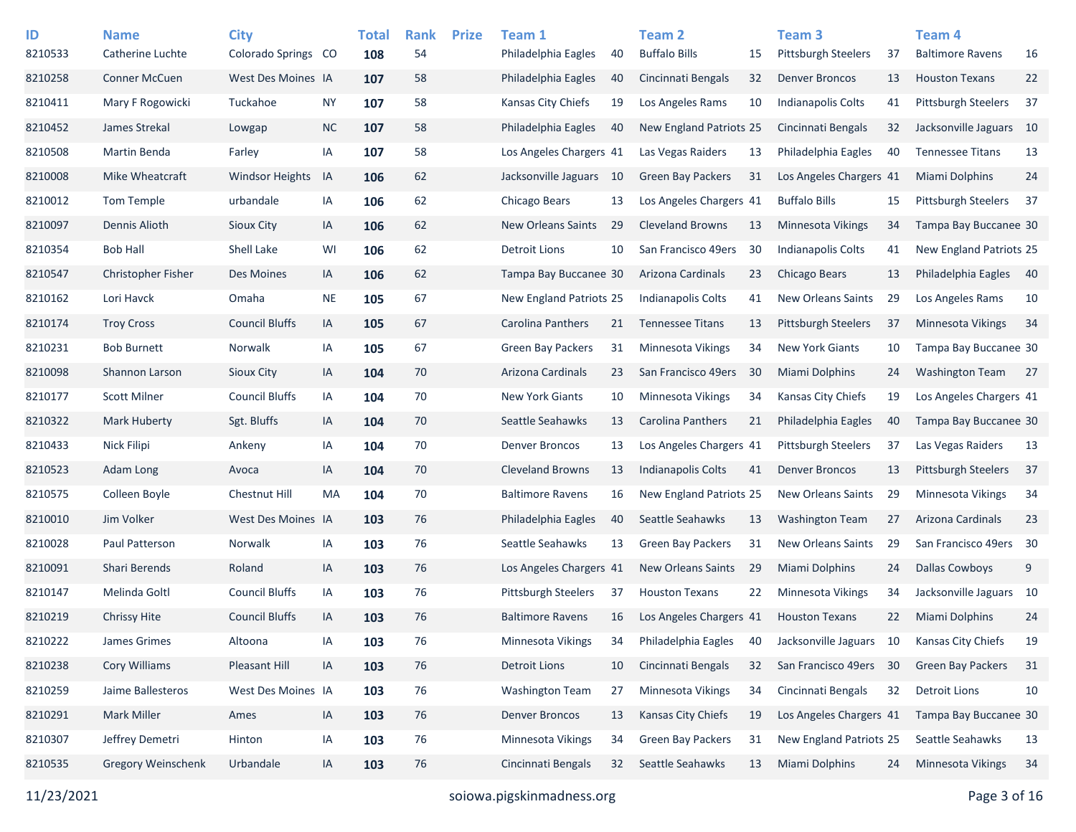| ID<br>8210533 | <b>Name</b><br>Catherine Luchte | <b>City</b><br>Colorado Springs CO |           | <b>Total</b><br>108 | <b>Rank</b><br>54 | <b>Prize</b> | Team 1<br>Philadelphia Eagles | 40  | <b>Team 2</b><br><b>Buffalo Bills</b> | 15 | Team <sub>3</sub><br><b>Pittsburgh Steelers</b> | 37 | Team 4<br><b>Baltimore Ravens</b> | 16   |
|---------------|---------------------------------|------------------------------------|-----------|---------------------|-------------------|--------------|-------------------------------|-----|---------------------------------------|----|-------------------------------------------------|----|-----------------------------------|------|
| 8210258       | <b>Conner McCuen</b>            | West Des Moines IA                 |           | 107                 | 58                |              | Philadelphia Eagles           | 40  | Cincinnati Bengals                    | 32 | <b>Denver Broncos</b>                           | 13 | <b>Houston Texans</b>             | 22   |
| 8210411       | Mary F Rogowicki                | Tuckahoe                           | <b>NY</b> | 107                 | 58                |              | Kansas City Chiefs            | 19  | Los Angeles Rams                      | 10 | Indianapolis Colts                              | 41 | <b>Pittsburgh Steelers</b>        | 37   |
| 8210452       | James Strekal                   | Lowgap                             | <b>NC</b> | 107                 | 58                |              | Philadelphia Eagles           | 40  | <b>New England Patriots 25</b>        |    | Cincinnati Bengals                              | 32 | Jacksonville Jaguars 10           |      |
| 8210508       | Martin Benda                    | Farley                             | IA        | 107                 | 58                |              | Los Angeles Chargers 41       |     | Las Vegas Raiders                     | 13 | Philadelphia Eagles                             | 40 | <b>Tennessee Titans</b>           | 13   |
| 8210008       | Mike Wheatcraft                 | <b>Windsor Heights</b>             | IA        | 106                 | 62                |              | Jacksonville Jaguars          | -10 | <b>Green Bay Packers</b>              | 31 | Los Angeles Chargers 41                         |    | Miami Dolphins                    | 24   |
| 8210012       | Tom Temple                      | urbandale                          | IA        | 106                 | 62                |              | Chicago Bears                 | 13  | Los Angeles Chargers 41               |    | <b>Buffalo Bills</b>                            | 15 | <b>Pittsburgh Steelers</b>        | 37   |
| 8210097       | Dennis Alioth                   | <b>Sioux City</b>                  | IA        | 106                 | 62                |              | <b>New Orleans Saints</b>     | 29  | <b>Cleveland Browns</b>               | 13 | <b>Minnesota Vikings</b>                        | 34 | Tampa Bay Buccanee 30             |      |
| 8210354       | <b>Bob Hall</b>                 | Shell Lake                         | WI        | 106                 | 62                |              | <b>Detroit Lions</b>          | 10  | San Francisco 49ers                   | 30 | <b>Indianapolis Colts</b>                       | 41 | New England Patriots 25           |      |
| 8210547       | Christopher Fisher              | Des Moines                         | IA        | 106                 | 62                |              | Tampa Bay Buccanee 30         |     | Arizona Cardinals                     | 23 | Chicago Bears                                   | 13 | Philadelphia Eagles               | - 40 |
| 8210162       | Lori Havck                      | Omaha                              | <b>NE</b> | 105                 | 67                |              | New England Patriots 25       |     | <b>Indianapolis Colts</b>             | 41 | New Orleans Saints                              | 29 | Los Angeles Rams                  | 10   |
| 8210174       | <b>Troy Cross</b>               | <b>Council Bluffs</b>              | IA        | 105                 | 67                |              | Carolina Panthers             | 21  | <b>Tennessee Titans</b>               | 13 | Pittsburgh Steelers                             | 37 | <b>Minnesota Vikings</b>          | 34   |
| 8210231       | <b>Bob Burnett</b>              | Norwalk                            | IA        | 105                 | 67                |              | <b>Green Bay Packers</b>      | 31  | Minnesota Vikings                     | 34 | <b>New York Giants</b>                          | 10 | Tampa Bay Buccanee 30             |      |
| 8210098       | Shannon Larson                  | <b>Sioux City</b>                  | IA        | 104                 | 70                |              | Arizona Cardinals             | 23  | San Francisco 49ers                   | 30 | Miami Dolphins                                  | 24 | <b>Washington Team</b>            | -27  |
| 8210177       | <b>Scott Milner</b>             | <b>Council Bluffs</b>              | IA        | 104                 | 70                |              | New York Giants               | 10  | Minnesota Vikings                     | 34 | Kansas City Chiefs                              | 19 | Los Angeles Chargers 41           |      |
| 8210322       | Mark Huberty                    | Sgt. Bluffs                        | IA        | 104                 | 70                |              | Seattle Seahawks              | 13  | Carolina Panthers                     | 21 | Philadelphia Eagles                             | 40 | Tampa Bay Buccanee 30             |      |
| 8210433       | Nick Filipi                     | Ankeny                             | IA        | 104                 | 70                |              | <b>Denver Broncos</b>         | 13  | Los Angeles Chargers 41               |    | <b>Pittsburgh Steelers</b>                      | 37 | Las Vegas Raiders                 | 13   |
| 8210523       | Adam Long                       | Avoca                              | IA        | 104                 | 70                |              | <b>Cleveland Browns</b>       | 13  | <b>Indianapolis Colts</b>             | 41 | <b>Denver Broncos</b>                           | 13 | <b>Pittsburgh Steelers</b>        | 37   |
| 8210575       | Colleen Boyle                   | Chestnut Hill                      | MA        | 104                 | 70                |              | <b>Baltimore Ravens</b>       | 16  | New England Patriots 25               |    | New Orleans Saints                              | 29 | <b>Minnesota Vikings</b>          | 34   |
| 8210010       | Jim Volker                      | West Des Moines IA                 |           | 103                 | 76                |              | Philadelphia Eagles           | 40  | Seattle Seahawks                      | 13 | <b>Washington Team</b>                          | 27 | Arizona Cardinals                 | 23   |
| 8210028       | Paul Patterson                  | Norwalk                            | IA        | 103                 | 76                |              | Seattle Seahawks              | 13  | <b>Green Bay Packers</b>              | 31 | <b>New Orleans Saints</b>                       | 29 | San Francisco 49ers 30            |      |
| 8210091       | Shari Berends                   | Roland                             | IA        | 103                 | 76                |              | Los Angeles Chargers 41       |     | <b>New Orleans Saints</b>             | 29 | Miami Dolphins                                  | 24 | <b>Dallas Cowboys</b>             | 9    |
| 8210147       | Melinda Goltl                   | <b>Council Bluffs</b>              | IA        | 103                 | 76                |              | Pittsburgh Steelers           | 37  | <b>Houston Texans</b>                 | 22 | Minnesota Vikings                               | 34 | Jacksonville Jaguars 10           |      |
| 8210219       | <b>Chrissy Hite</b>             | <b>Council Bluffs</b>              | IA        | 103                 | 76                |              | <b>Baltimore Ravens</b>       | 16  | Los Angeles Chargers 41               |    | <b>Houston Texans</b>                           | 22 | Miami Dolphins                    | 24   |
| 8210222       | James Grimes                    | Altoona                            | IA        | 103                 | 76                |              | Minnesota Vikings             | 34  | Philadelphia Eagles                   | 40 | Jacksonville Jaguars 10                         |    | Kansas City Chiefs                | 19   |
| 8210238       | Cory Williams                   | Pleasant Hill                      | IA        | 103                 | 76                |              | <b>Detroit Lions</b>          | 10  | Cincinnati Bengals                    | 32 | San Francisco 49ers 30                          |    | <b>Green Bay Packers</b>          | 31   |
| 8210259       | Jaime Ballesteros               | West Des Moines IA                 |           | 103                 | 76                |              | <b>Washington Team</b>        | 27  | Minnesota Vikings                     | 34 | Cincinnati Bengals                              | 32 | <b>Detroit Lions</b>              | 10   |
| 8210291       | Mark Miller                     | Ames                               | IA        | 103                 | 76                |              | <b>Denver Broncos</b>         | 13  | Kansas City Chiefs                    | 19 | Los Angeles Chargers 41                         |    | Tampa Bay Buccanee 30             |      |
| 8210307       | Jeffrey Demetri                 | Hinton                             | IA        | 103                 | 76                |              | Minnesota Vikings             | 34  | <b>Green Bay Packers</b>              | 31 | New England Patriots 25                         |    | Seattle Seahawks                  | 13   |
| 8210535       | Gregory Weinschenk              | Urbandale                          | IA        | 103                 | 76                |              | Cincinnati Bengals            | 32  | Seattle Seahawks                      | 13 | Miami Dolphins                                  | 24 | Minnesota Vikings                 | 34   |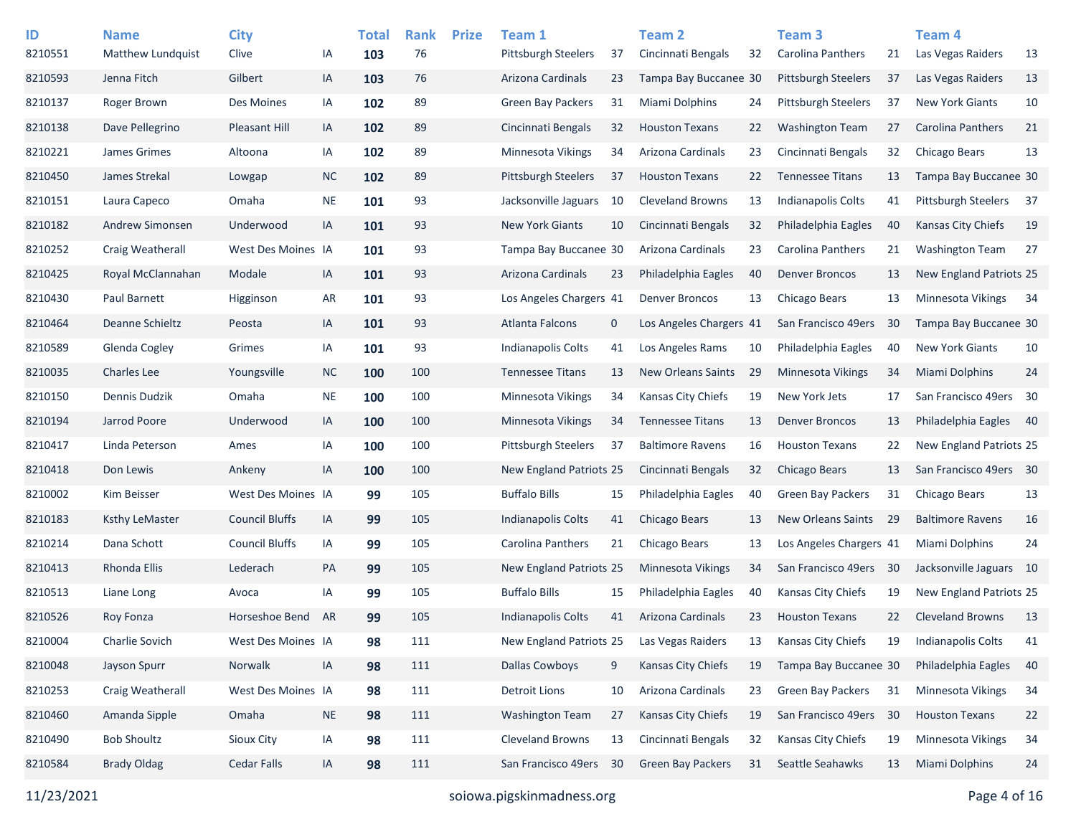| ID<br>8210551 | <b>Name</b><br><b>Matthew Lundquist</b> | <b>City</b><br>Clive  | IA        | <b>Total</b><br>103 | <b>Rank</b><br>76 | <b>Prize</b> | Team 1<br><b>Pittsburgh Steelers</b> | 37          | <b>Team 2</b><br>Cincinnati Bengals | 32 | Team <sub>3</sub><br><b>Carolina Panthers</b> | 21   | Team 4<br>Las Vegas Raiders | 13   |
|---------------|-----------------------------------------|-----------------------|-----------|---------------------|-------------------|--------------|--------------------------------------|-------------|-------------------------------------|----|-----------------------------------------------|------|-----------------------------|------|
| 8210593       | Jenna Fitch                             | Gilbert               | IA        | 103                 | 76                |              | Arizona Cardinals                    | 23          | Tampa Bay Buccanee 30               |    | Pittsburgh Steelers                           | 37   | Las Vegas Raiders           | 13   |
| 8210137       | Roger Brown                             | Des Moines            | IA        | 102                 | 89                |              | <b>Green Bay Packers</b>             | 31          | Miami Dolphins                      | 24 | <b>Pittsburgh Steelers</b>                    | 37   | <b>New York Giants</b>      | 10   |
| 8210138       | Dave Pellegrino                         | <b>Pleasant Hill</b>  | IA        | 102                 | 89                |              | Cincinnati Bengals                   | 32          | <b>Houston Texans</b>               | 22 | <b>Washington Team</b>                        | 27   | Carolina Panthers           | 21   |
| 8210221       | James Grimes                            | Altoona               | IA        | 102                 | 89                |              | <b>Minnesota Vikings</b>             | 34          | Arizona Cardinals                   | 23 | Cincinnati Bengals                            | 32   | Chicago Bears               | 13   |
| 8210450       | James Strekal                           | Lowgap                | <b>NC</b> | 102                 | 89                |              | <b>Pittsburgh Steelers</b>           | 37          | <b>Houston Texans</b>               | 22 | <b>Tennessee Titans</b>                       | 13   | Tampa Bay Buccanee 30       |      |
| 8210151       | Laura Capeco                            | Omaha                 | <b>NE</b> | 101                 | 93                |              | Jacksonville Jaguars                 | 10          | <b>Cleveland Browns</b>             | 13 | Indianapolis Colts                            | 41   | Pittsburgh Steelers         | 37   |
| 8210182       | <b>Andrew Simonsen</b>                  | Underwood             | IA        | 101                 | 93                |              | <b>New York Giants</b>               | 10          | Cincinnati Bengals                  | 32 | Philadelphia Eagles                           | 40   | <b>Kansas City Chiefs</b>   | 19   |
| 8210252       | Craig Weatherall                        | West Des Moines IA    |           | 101                 | 93                |              | Tampa Bay Buccanee 30                |             | Arizona Cardinals                   | 23 | Carolina Panthers                             | 21   | <b>Washington Team</b>      | 27   |
| 8210425       | Royal McClannahan                       | Modale                | IA        | 101                 | 93                |              | Arizona Cardinals                    | 23          | Philadelphia Eagles                 | 40 | <b>Denver Broncos</b>                         | 13   | New England Patriots 25     |      |
| 8210430       | Paul Barnett                            | Higginson             | AR        | 101                 | 93                |              | Los Angeles Chargers 41              |             | <b>Denver Broncos</b>               | 13 | Chicago Bears                                 | 13   | Minnesota Vikings           | - 34 |
| 8210464       | Deanne Schieltz                         | Peosta                | IA        | 101                 | 93                |              | Atlanta Falcons                      | $\mathbf 0$ | Los Angeles Chargers 41             |    | San Francisco 49ers                           | 30   | Tampa Bay Buccanee 30       |      |
| 8210589       | Glenda Cogley                           | Grimes                | IA        | 101                 | 93                |              | <b>Indianapolis Colts</b>            | 41          | Los Angeles Rams                    | 10 | Philadelphia Eagles                           | 40   | New York Giants             | 10   |
| 8210035       | <b>Charles Lee</b>                      | Youngsville           | <b>NC</b> | 100                 | 100               |              | <b>Tennessee Titans</b>              | 13          | <b>New Orleans Saints</b>           | 29 | Minnesota Vikings                             | 34   | Miami Dolphins              | 24   |
| 8210150       | Dennis Dudzik                           | Omaha                 | <b>NE</b> | 100                 | 100               |              | Minnesota Vikings                    | 34          | Kansas City Chiefs                  | 19 | New York Jets                                 | 17   | San Francisco 49ers 30      |      |
| 8210194       | Jarrod Poore                            | Underwood             | IA        | 100                 | 100               |              | <b>Minnesota Vikings</b>             | 34          | <b>Tennessee Titans</b>             | 13 | <b>Denver Broncos</b>                         | 13   | Philadelphia Eagles         | - 40 |
| 8210417       | Linda Peterson                          | Ames                  | IA        | 100                 | 100               |              | <b>Pittsburgh Steelers</b>           | 37          | <b>Baltimore Ravens</b>             | 16 | <b>Houston Texans</b>                         | 22   | New England Patriots 25     |      |
| 8210418       | Don Lewis                               | Ankeny                | IA        | 100                 | 100               |              | New England Patriots 25              |             | Cincinnati Bengals                  | 32 | Chicago Bears                                 | 13   | San Francisco 49ers 30      |      |
| 8210002       | Kim Beisser                             | West Des Moines IA    |           | 99                  | 105               |              | <b>Buffalo Bills</b>                 | 15          | Philadelphia Eagles                 | 40 | <b>Green Bay Packers</b>                      | 31   | Chicago Bears               | 13   |
| 8210183       | <b>Ksthy LeMaster</b>                   | <b>Council Bluffs</b> | IA        | 99                  | 105               |              | Indianapolis Colts                   | 41          | Chicago Bears                       | 13 | <b>New Orleans Saints</b>                     | -29  | <b>Baltimore Ravens</b>     | 16   |
| 8210214       | Dana Schott                             | <b>Council Bluffs</b> | IA        | 99                  | 105               |              | Carolina Panthers                    | 21          | Chicago Bears                       | 13 | Los Angeles Chargers 41                       |      | Miami Dolphins              | 24   |
| 8210413       | <b>Rhonda Ellis</b>                     | Lederach              | PA        | 99                  | 105               |              | New England Patriots 25              |             | Minnesota Vikings                   | 34 | San Francisco 49ers                           | - 30 | Jacksonville Jaguars 10     |      |
| 8210513       | Liane Long                              | Avoca                 | IA        | 99                  | 105               |              | <b>Buffalo Bills</b>                 | 15          | Philadelphia Eagles                 | 40 | Kansas City Chiefs                            | 19   | New England Patriots 25     |      |
| 8210526       | Roy Fonza                               | Horseshoe Bend        | AR        | 99                  | 105               |              | <b>Indianapolis Colts</b>            | 41          | Arizona Cardinals                   | 23 | <b>Houston Texans</b>                         | 22   | <b>Cleveland Browns</b>     | 13   |
| 8210004       | Charlie Sovich                          | West Des Moines IA    |           | 98                  | 111               |              | New England Patriots 25              |             | Las Vegas Raiders                   | 13 | Kansas City Chiefs                            | 19   | Indianapolis Colts          | 41   |
| 8210048       | Jayson Spurr                            | Norwalk               | IA        | 98                  | 111               |              | <b>Dallas Cowboys</b>                | 9           | Kansas City Chiefs                  | 19 | Tampa Bay Buccanee 30                         |      | Philadelphia Eagles         | 40   |
| 8210253       | Craig Weatherall                        | West Des Moines IA    |           | 98                  | 111               |              | <b>Detroit Lions</b>                 | 10          | Arizona Cardinals                   | 23 | Green Bay Packers                             | 31   | Minnesota Vikings           | 34   |
| 8210460       | Amanda Sipple                           | Omaha                 | <b>NE</b> | 98                  | 111               |              | <b>Washington Team</b>               | 27          | Kansas City Chiefs                  | 19 | San Francisco 49ers                           | 30   | <b>Houston Texans</b>       | 22   |
| 8210490       | <b>Bob Shoultz</b>                      | Sioux City            | IA        | 98                  | 111               |              | Cleveland Browns                     | 13          | Cincinnati Bengals                  | 32 | Kansas City Chiefs                            | 19   | Minnesota Vikings           | 34   |
| 8210584       | <b>Brady Oldag</b>                      | <b>Cedar Falls</b>    | IA        | 98                  | 111               |              | San Francisco 49ers                  | -30         | Green Bay Packers                   | 31 | Seattle Seahawks                              | 13   | <b>Miami Dolphins</b>       | 24   |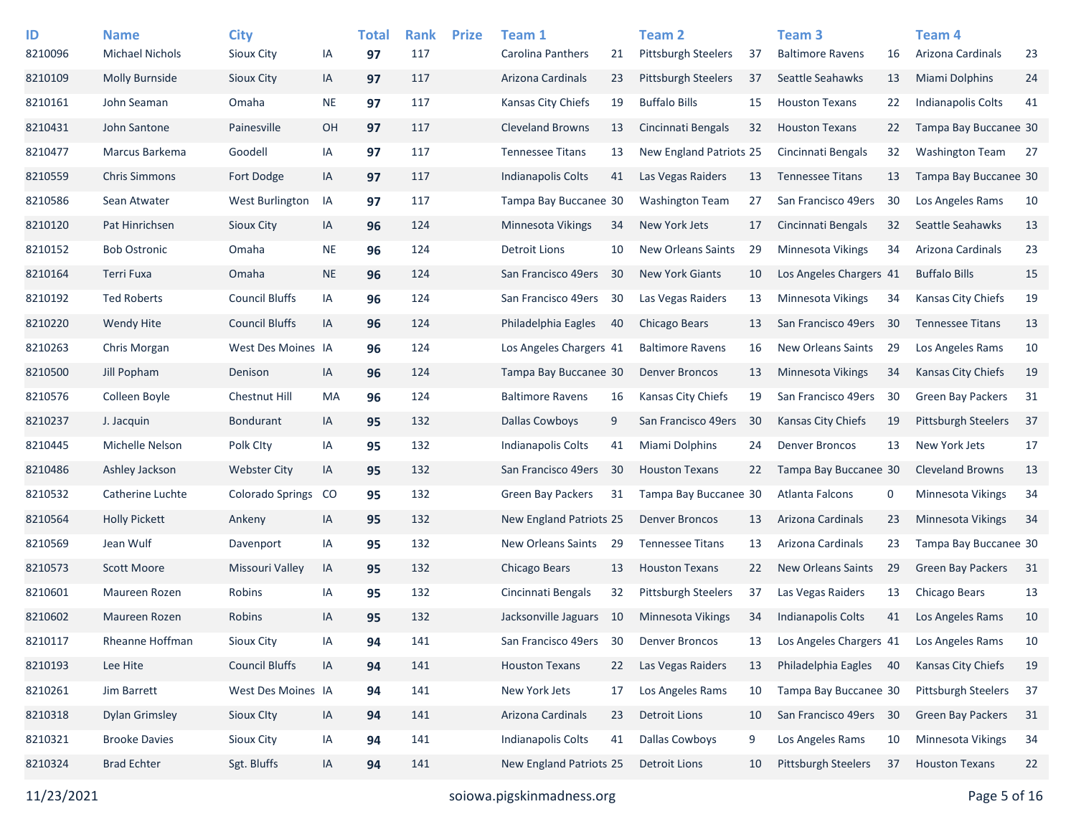| ID      | <b>Name</b>            | <b>City</b>             |           | <b>Total</b> | <b>Rank</b> | <b>Prize</b> | Team 1                    |    | <b>Team 2</b>              |    | Team <sub>3</sub>         |    | <b>Team 4</b>              |    |
|---------|------------------------|-------------------------|-----------|--------------|-------------|--------------|---------------------------|----|----------------------------|----|---------------------------|----|----------------------------|----|
| 8210096 | <b>Michael Nichols</b> | Sioux City              | IA        | 97           | 117         |              | Carolina Panthers         | 21 | <b>Pittsburgh Steelers</b> | 37 | <b>Baltimore Ravens</b>   | 16 | Arizona Cardinals          | 23 |
| 8210109 | Molly Burnside         | Sioux City              | IA        | 97           | 117         |              | Arizona Cardinals         | 23 | <b>Pittsburgh Steelers</b> | 37 | Seattle Seahawks          | 13 | Miami Dolphins             | 24 |
| 8210161 | John Seaman            | Omaha                   | <b>NE</b> | 97           | 117         |              | Kansas City Chiefs        | 19 | <b>Buffalo Bills</b>       | 15 | <b>Houston Texans</b>     | 22 | <b>Indianapolis Colts</b>  | 41 |
| 8210431 | John Santone           | Painesville             | OH        | 97           | 117         |              | <b>Cleveland Browns</b>   | 13 | Cincinnati Bengals         | 32 | <b>Houston Texans</b>     | 22 | Tampa Bay Buccanee 30      |    |
| 8210477 | Marcus Barkema         | Goodell                 | IA        | 97           | 117         |              | <b>Tennessee Titans</b>   | 13 | New England Patriots 25    |    | Cincinnati Bengals        | 32 | <b>Washington Team</b>     | 27 |
| 8210559 | <b>Chris Simmons</b>   | Fort Dodge              | IA        | 97           | 117         |              | Indianapolis Colts        | 41 | Las Vegas Raiders          | 13 | <b>Tennessee Titans</b>   | 13 | Tampa Bay Buccanee 30      |    |
| 8210586 | Sean Atwater           | West Burlington         | IA        | 97           | 117         |              | Tampa Bay Buccanee 30     |    | <b>Washington Team</b>     | 27 | San Francisco 49ers       | 30 | Los Angeles Rams           | 10 |
| 8210120 | Pat Hinrichsen         | Sioux City              | IA        | 96           | 124         |              | <b>Minnesota Vikings</b>  | 34 | New York Jets              | 17 | Cincinnati Bengals        | 32 | Seattle Seahawks           | 13 |
| 8210152 | <b>Bob Ostronic</b>    | Omaha                   | <b>NE</b> | 96           | 124         |              | <b>Detroit Lions</b>      | 10 | <b>New Orleans Saints</b>  | 29 | Minnesota Vikings         | 34 | Arizona Cardinals          | 23 |
| 8210164 | Terri Fuxa             | Omaha                   | <b>NE</b> | 96           | 124         |              | San Francisco 49ers       | 30 | <b>New York Giants</b>     | 10 | Los Angeles Chargers 41   |    | <b>Buffalo Bills</b>       | 15 |
| 8210192 | <b>Ted Roberts</b>     | <b>Council Bluffs</b>   | IA        | 96           | 124         |              | San Francisco 49ers       | 30 | Las Vegas Raiders          | 13 | Minnesota Vikings         | 34 | Kansas City Chiefs         | 19 |
| 8210220 | Wendy Hite             | <b>Council Bluffs</b>   | IA        | 96           | 124         |              | Philadelphia Eagles       | 40 | Chicago Bears              | 13 | San Francisco 49ers       | 30 | <b>Tennessee Titans</b>    | 13 |
| 8210263 | Chris Morgan           | West Des Moines IA      |           | 96           | 124         |              | Los Angeles Chargers 41   |    | <b>Baltimore Ravens</b>    | 16 | New Orleans Saints        | 29 | Los Angeles Rams           | 10 |
| 8210500 | Jill Popham            | Denison                 | IA        | 96           | 124         |              | Tampa Bay Buccanee 30     |    | Denver Broncos             | 13 | Minnesota Vikings         | 34 | <b>Kansas City Chiefs</b>  | 19 |
| 8210576 | Colleen Boyle          | Chestnut Hill           | MA        | 96           | 124         |              | <b>Baltimore Ravens</b>   | 16 | Kansas City Chiefs         | 19 | San Francisco 49ers       | 30 | <b>Green Bay Packers</b>   | 31 |
| 8210237 | J. Jacquin             | <b>Bondurant</b>        | IA        | 95           | 132         |              | <b>Dallas Cowboys</b>     | 9  | San Francisco 49ers        | 30 | Kansas City Chiefs        | 19 | <b>Pittsburgh Steelers</b> | 37 |
| 8210445 | Michelle Nelson        | Polk City               | IA        | 95           | 132         |              | Indianapolis Colts        | 41 | Miami Dolphins             | 24 | <b>Denver Broncos</b>     | 13 | New York Jets              | 17 |
| 8210486 | Ashley Jackson         | <b>Webster City</b>     | IA        | 95           | 132         |              | San Francisco 49ers       | 30 | <b>Houston Texans</b>      | 22 | Tampa Bay Buccanee 30     |    | <b>Cleveland Browns</b>    | 13 |
| 8210532 | Catherine Luchte       | <b>Colorado Springs</b> | CO        | 95           | 132         |              | <b>Green Bay Packers</b>  | 31 | Tampa Bay Buccanee 30      |    | Atlanta Falcons           | 0  | <b>Minnesota Vikings</b>   | 34 |
| 8210564 | <b>Holly Pickett</b>   | Ankeny                  | IA        | 95           | 132         |              | New England Patriots 25   |    | <b>Denver Broncos</b>      | 13 | Arizona Cardinals         | 23 | Minnesota Vikings          | 34 |
| 8210569 | Jean Wulf              | Davenport               | IA        | 95           | 132         |              | New Orleans Saints        | 29 | <b>Tennessee Titans</b>    | 13 | Arizona Cardinals         | 23 | Tampa Bay Buccanee 30      |    |
| 8210573 | <b>Scott Moore</b>     | Missouri Valley         | IA        | 95           | 132         |              | Chicago Bears             | 13 | <b>Houston Texans</b>      | 22 | <b>New Orleans Saints</b> | 29 | <b>Green Bay Packers</b>   | 31 |
| 8210601 | Maureen Rozen          | Robins                  | IA        | 95           | 132         |              | Cincinnati Bengals        | 32 | <b>Pittsburgh Steelers</b> | 37 | Las Vegas Raiders         | 13 | Chicago Bears              | 13 |
| 8210602 | Maureen Rozen          | Robins                  | IA        | 95           | 132         |              | Jacksonville Jaguars      | 10 | Minnesota Vikings          | 34 | Indianapolis Colts        | 41 | Los Angeles Rams           | 10 |
| 8210117 | Rheanne Hoffman        | Sioux City              | IA        | 94           | 141         |              | San Francisco 49ers       | 30 | <b>Denver Broncos</b>      | 13 | Los Angeles Chargers 41   |    | Los Angeles Rams           | 10 |
| 8210193 | Lee Hite               | <b>Council Bluffs</b>   | IA        | 94           | 141         |              | <b>Houston Texans</b>     | 22 | Las Vegas Raiders          | 13 | Philadelphia Eagles 40    |    | Kansas City Chiefs         | 19 |
| 8210261 | Jim Barrett            | West Des Moines IA      |           | 94           | 141         |              | New York Jets             | 17 | Los Angeles Rams           | 10 | Tampa Bay Buccanee 30     |    | Pittsburgh Steelers        | 37 |
| 8210318 | <b>Dylan Grimsley</b>  | Sioux Clty              | IA        | 94           | 141         |              | Arizona Cardinals         | 23 | <b>Detroit Lions</b>       | 10 | San Francisco 49ers 30    |    | <b>Green Bay Packers</b>   | 31 |
| 8210321 | <b>Brooke Davies</b>   | Sioux City              | IA        | 94           | 141         |              | <b>Indianapolis Colts</b> | 41 | <b>Dallas Cowboys</b>      | 9  | Los Angeles Rams          | 10 | Minnesota Vikings          | 34 |
| 8210324 | <b>Brad Echter</b>     | Sgt. Bluffs             | IA        | 94           | 141         |              | New England Patriots 25   |    | <b>Detroit Lions</b>       | 10 | Pittsburgh Steelers       | 37 | <b>Houston Texans</b>      | 22 |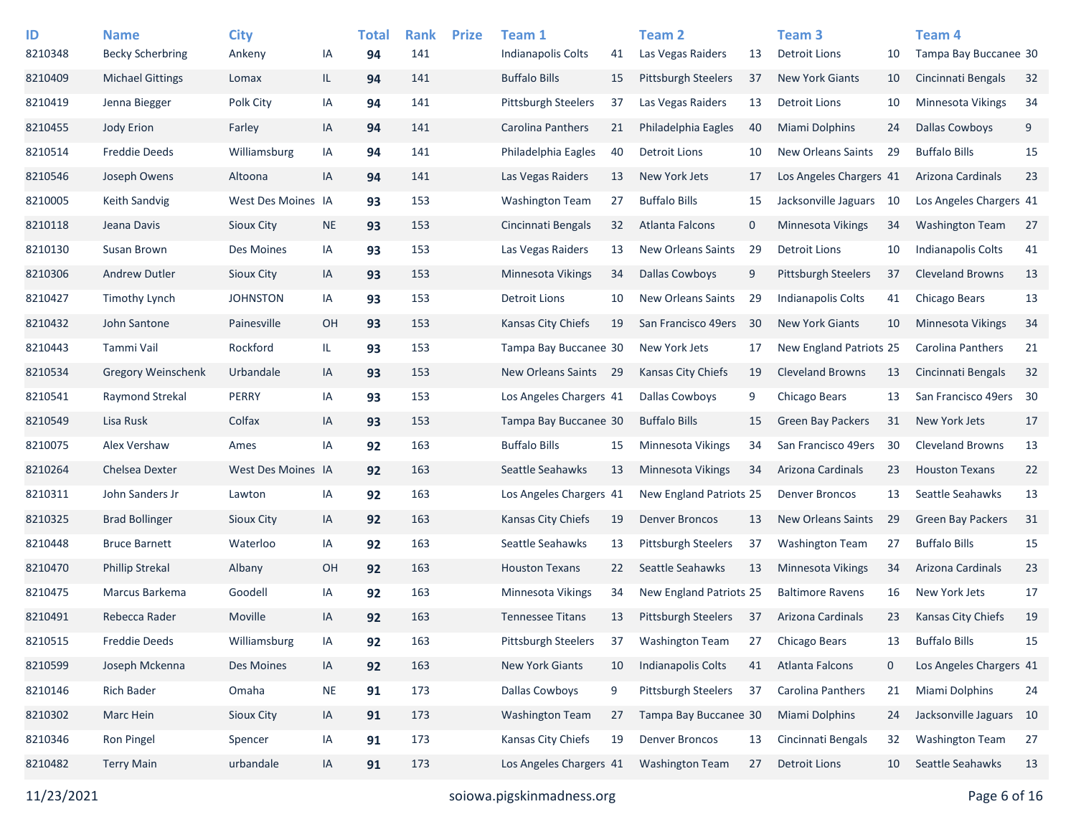| ID      | <b>Name</b>               | <b>City</b>        |           | <b>Total</b> | <b>Rank</b> | <b>Prize</b> | Team 1                     |     | Team 2                     |    | Team <sub>3</sub>         |             | Team 4                    |    |
|---------|---------------------------|--------------------|-----------|--------------|-------------|--------------|----------------------------|-----|----------------------------|----|---------------------------|-------------|---------------------------|----|
| 8210348 | <b>Becky Scherbring</b>   | Ankeny             | ΙA        | 94           | 141         |              | Indianapolis Colts         | 41  | Las Vegas Raiders          | 13 | <b>Detroit Lions</b>      | 10          | Tampa Bay Buccanee 30     |    |
| 8210409 | <b>Michael Gittings</b>   | Lomax              | IL.       | 94           | 141         |              | <b>Buffalo Bills</b>       | 15  | Pittsburgh Steelers        | 37 | <b>New York Giants</b>    | 10          | Cincinnati Bengals        | 32 |
| 8210419 | Jenna Biegger             | Polk City          | IA        | 94           | 141         |              | <b>Pittsburgh Steelers</b> | 37  | Las Vegas Raiders          | 13 | Detroit Lions             | 10          | <b>Minnesota Vikings</b>  | 34 |
| 8210455 | Jody Erion                | Farley             | IA        | 94           | 141         |              | Carolina Panthers          | 21  | Philadelphia Eagles        | 40 | Miami Dolphins            | 24          | <b>Dallas Cowboys</b>     | 9  |
| 8210514 | <b>Freddie Deeds</b>      | Williamsburg       | IA        | 94           | 141         |              | Philadelphia Eagles        | 40  | Detroit Lions              | 10 | <b>New Orleans Saints</b> | 29          | <b>Buffalo Bills</b>      | 15 |
| 8210546 | Joseph Owens              | Altoona            | IA        | 94           | 141         |              | Las Vegas Raiders          | 13  | New York Jets              | 17 | Los Angeles Chargers 41   |             | Arizona Cardinals         | 23 |
| 8210005 | Keith Sandvig             | West Des Moines IA |           | 93           | 153         |              | <b>Washington Team</b>     | 27  | <b>Buffalo Bills</b>       | 15 | Jacksonville Jaguars 10   |             | Los Angeles Chargers 41   |    |
| 8210118 | Jeana Davis               | Sioux City         | <b>NE</b> | 93           | 153         |              | Cincinnati Bengals         | 32  | Atlanta Falcons            | 0  | Minnesota Vikings         | 34          | <b>Washington Team</b>    | 27 |
| 8210130 | Susan Brown               | Des Moines         | IA        | 93           | 153         |              | Las Vegas Raiders          | 13  | <b>New Orleans Saints</b>  | 29 | Detroit Lions             | 10          | <b>Indianapolis Colts</b> | 41 |
| 8210306 | <b>Andrew Dutler</b>      | Sioux City         | IA        | 93           | 153         |              | Minnesota Vikings          | 34  | <b>Dallas Cowboys</b>      | 9  | Pittsburgh Steelers       | 37          | <b>Cleveland Browns</b>   | 13 |
| 8210427 | <b>Timothy Lynch</b>      | <b>JOHNSTON</b>    | IA        | 93           | 153         |              | Detroit Lions              | 10  | <b>New Orleans Saints</b>  | 29 | Indianapolis Colts        | 41          | Chicago Bears             | 13 |
| 8210432 | John Santone              | Painesville        | OH        | 93           | 153         |              | Kansas City Chiefs         | 19  | San Francisco 49ers        | 30 | <b>New York Giants</b>    | 10          | Minnesota Vikings         | 34 |
| 8210443 | Tammi Vail                | Rockford           | IL.       | 93           | 153         |              | Tampa Bay Buccanee 30      |     | New York Jets              | 17 | New England Patriots 25   |             | Carolina Panthers         | 21 |
| 8210534 | <b>Gregory Weinschenk</b> | Urbandale          | IA        | 93           | 153         |              | New Orleans Saints         | -29 | Kansas City Chiefs         | 19 | <b>Cleveland Browns</b>   | 13          | Cincinnati Bengals        | 32 |
| 8210541 | Raymond Strekal           | <b>PERRY</b>       | IA        | 93           | 153         |              | Los Angeles Chargers 41    |     | <b>Dallas Cowboys</b>      | 9  | Chicago Bears             | 13          | San Francisco 49ers 30    |    |
| 8210549 | Lisa Rusk                 | Colfax             | IA        | 93           | 153         |              | Tampa Bay Buccanee 30      |     | <b>Buffalo Bills</b>       | 15 | <b>Green Bay Packers</b>  | 31          | New York Jets             | 17 |
| 8210075 | Alex Vershaw              | Ames               | IA        | 92           | 163         |              | <b>Buffalo Bills</b>       | 15  | <b>Minnesota Vikings</b>   | 34 | San Francisco 49ers       | 30          | <b>Cleveland Browns</b>   | 13 |
| 8210264 | Chelsea Dexter            | West Des Moines IA |           | 92           | 163         |              | Seattle Seahawks           | 13  | Minnesota Vikings          | 34 | Arizona Cardinals         | 23          | <b>Houston Texans</b>     | 22 |
| 8210311 | John Sanders Jr           | Lawton             | IA        | 92           | 163         |              | Los Angeles Chargers 41    |     | New England Patriots 25    |    | <b>Denver Broncos</b>     | 13          | Seattle Seahawks          | 13 |
| 8210325 | <b>Brad Bollinger</b>     | Sioux City         | IA        | 92           | 163         |              | Kansas City Chiefs         | 19  | <b>Denver Broncos</b>      | 13 | New Orleans Saints        | 29          | <b>Green Bay Packers</b>  | 31 |
| 8210448 | <b>Bruce Barnett</b>      | Waterloo           | IA        | 92           | 163         |              | Seattle Seahawks           | 13  | <b>Pittsburgh Steelers</b> | 37 | <b>Washington Team</b>    | 27          | <b>Buffalo Bills</b>      | 15 |
| 8210470 | <b>Phillip Strekal</b>    | Albany             | OН        | 92           | 163         |              | <b>Houston Texans</b>      | 22  | Seattle Seahawks           | 13 | Minnesota Vikings         | 34          | Arizona Cardinals         | 23 |
| 8210475 | Marcus Barkema            | Goodell            | IA        | 92           | 163         |              | <b>Minnesota Vikings</b>   | 34  | New England Patriots 25    |    | <b>Baltimore Ravens</b>   | 16          | New York Jets             | 17 |
| 8210491 | Rebecca Rader             | Moville            | IA        | 92           | 163         |              | <b>Tennessee Titans</b>    | 13  | <b>Pittsburgh Steelers</b> | 37 | Arizona Cardinals         | 23          | <b>Kansas City Chiefs</b> | 19 |
| 8210515 | <b>Freddie Deeds</b>      | Williamsburg       | IA        | 92           | 163         |              | Pittsburgh Steelers        | 37  | <b>Washington Team</b>     | 27 | Chicago Bears             | 13          | <b>Buffalo Bills</b>      | 15 |
| 8210599 | Joseph Mckenna            | Des Moines         | IA        | 92           | 163         |              | New York Giants            | 10  | <b>Indianapolis Colts</b>  | 41 | Atlanta Falcons           | $\mathbf 0$ | Los Angeles Chargers 41   |    |
| 8210146 | Rich Bader                | Omaha              | <b>NE</b> | 91           | 173         |              | Dallas Cowboys             | 9   | Pittsburgh Steelers        | 37 | <b>Carolina Panthers</b>  | 21          | Miami Dolphins            | 24 |
| 8210302 | Marc Hein                 | Sioux City         | IA        | 91           | 173         |              | <b>Washington Team</b>     | 27  | Tampa Bay Buccanee 30      |    | Miami Dolphins            | 24          | Jacksonville Jaguars 10   |    |
| 8210346 | Ron Pingel                | Spencer            | IA        | 91           | 173         |              | Kansas City Chiefs         | 19  | Denver Broncos             | 13 | Cincinnati Bengals        | 32          | <b>Washington Team</b>    | 27 |
| 8210482 | <b>Terry Main</b>         | urbandale          | IA        | 91           | 173         |              | Los Angeles Chargers 41    |     | <b>Washington Team</b>     | 27 | <b>Detroit Lions</b>      | 10          | Seattle Seahawks          | 13 |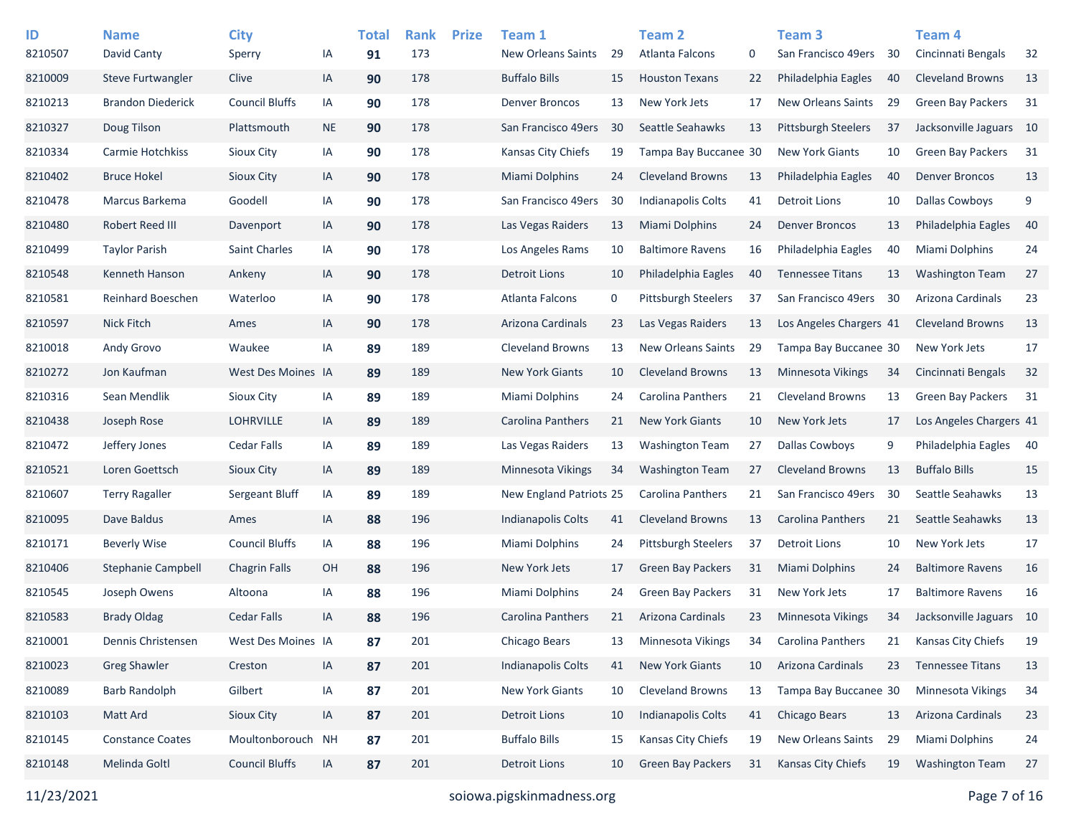| ID      | <b>Name</b>              | <b>City</b>           |           | <b>Total</b> | <b>Rank</b> | <b>Prize</b> | Team 1                         |    | <b>Team 2</b>              |    | Team <sub>3</sub>          |    | <b>Team 4</b>            |      |
|---------|--------------------------|-----------------------|-----------|--------------|-------------|--------------|--------------------------------|----|----------------------------|----|----------------------------|----|--------------------------|------|
| 8210507 | David Canty              | Sperry                | IA        | 91           | 173         |              | <b>New Orleans Saints</b>      | 29 | Atlanta Falcons            | 0  | San Francisco 49ers        | 30 | Cincinnati Bengals       | 32   |
| 8210009 | Steve Furtwangler        | Clive                 | IA        | 90           | 178         |              | <b>Buffalo Bills</b>           | 15 | <b>Houston Texans</b>      | 22 | Philadelphia Eagles        | 40 | <b>Cleveland Browns</b>  | 13   |
| 8210213 | <b>Brandon Diederick</b> | <b>Council Bluffs</b> | IA        | 90           | 178         |              | <b>Denver Broncos</b>          | 13 | New York Jets              | 17 | New Orleans Saints         | 29 | <b>Green Bay Packers</b> | 31   |
| 8210327 | Doug Tilson              | Plattsmouth           | <b>NE</b> | 90           | 178         |              | San Francisco 49ers            | 30 | Seattle Seahawks           | 13 | <b>Pittsburgh Steelers</b> | 37 | Jacksonville Jaguars 10  |      |
| 8210334 | <b>Carmie Hotchkiss</b>  | Sioux City            | IA        | 90           | 178         |              | Kansas City Chiefs             | 19 | Tampa Bay Buccanee 30      |    | <b>New York Giants</b>     | 10 | <b>Green Bay Packers</b> | 31   |
| 8210402 | <b>Bruce Hokel</b>       | Sioux City            | IA        | 90           | 178         |              | <b>Miami Dolphins</b>          | 24 | <b>Cleveland Browns</b>    | 13 | Philadelphia Eagles        | 40 | <b>Denver Broncos</b>    | 13   |
| 8210478 | Marcus Barkema           | Goodell               | IA        | 90           | 178         |              | San Francisco 49ers            | 30 | Indianapolis Colts         | 41 | Detroit Lions              | 10 | <b>Dallas Cowboys</b>    | 9    |
| 8210480 | Robert Reed III          | Davenport             | IA        | 90           | 178         |              | Las Vegas Raiders              | 13 | <b>Miami Dolphins</b>      | 24 | <b>Denver Broncos</b>      | 13 | Philadelphia Eagles      | 40   |
| 8210499 | <b>Taylor Parish</b>     | <b>Saint Charles</b>  | IA        | 90           | 178         |              | Los Angeles Rams               | 10 | <b>Baltimore Ravens</b>    | 16 | Philadelphia Eagles        | 40 | Miami Dolphins           | 24   |
| 8210548 | Kenneth Hanson           | Ankeny                | IA        | 90           | 178         |              | Detroit Lions                  | 10 | Philadelphia Eagles        | 40 | <b>Tennessee Titans</b>    | 13 | <b>Washington Team</b>   | 27   |
| 8210581 | <b>Reinhard Boeschen</b> | Waterloo              | IA        | 90           | 178         |              | Atlanta Falcons                | 0  | <b>Pittsburgh Steelers</b> | 37 | San Francisco 49ers        | 30 | Arizona Cardinals        | 23   |
| 8210597 | <b>Nick Fitch</b>        | Ames                  | IA        | 90           | 178         |              | Arizona Cardinals              | 23 | Las Vegas Raiders          | 13 | Los Angeles Chargers 41    |    | <b>Cleveland Browns</b>  | 13   |
| 8210018 | Andy Grovo               | Waukee                | IA        | 89           | 189         |              | <b>Cleveland Browns</b>        | 13 | <b>New Orleans Saints</b>  | 29 | Tampa Bay Buccanee 30      |    | New York Jets            | 17   |
| 8210272 | Jon Kaufman              | West Des Moines IA    |           | 89           | 189         |              | <b>New York Giants</b>         | 10 | <b>Cleveland Browns</b>    | 13 | Minnesota Vikings          | 34 | Cincinnati Bengals       | 32   |
| 8210316 | Sean Mendlik             | Sioux City            | IA        | 89           | 189         |              | Miami Dolphins                 | 24 | <b>Carolina Panthers</b>   | 21 | <b>Cleveland Browns</b>    | 13 | <b>Green Bay Packers</b> | 31   |
| 8210438 | Joseph Rose              | <b>LOHRVILLE</b>      | IA        | 89           | 189         |              | <b>Carolina Panthers</b>       | 21 | <b>New York Giants</b>     | 10 | New York Jets              | 17 | Los Angeles Chargers 41  |      |
| 8210472 | Jeffery Jones            | <b>Cedar Falls</b>    | IA        | 89           | 189         |              | Las Vegas Raiders              | 13 | <b>Washington Team</b>     | 27 | <b>Dallas Cowboys</b>      | 9  | Philadelphia Eagles      | - 40 |
| 8210521 | Loren Goettsch           | Sioux City            | IA        | 89           | 189         |              | <b>Minnesota Vikings</b>       | 34 | <b>Washington Team</b>     | 27 | <b>Cleveland Browns</b>    | 13 | <b>Buffalo Bills</b>     | 15   |
| 8210607 | <b>Terry Ragaller</b>    | Sergeant Bluff        | IA        | 89           | 189         |              | <b>New England Patriots 25</b> |    | Carolina Panthers          | 21 | San Francisco 49ers        | 30 | Seattle Seahawks         | 13   |
| 8210095 | Dave Baldus              | Ames                  | IA        | 88           | 196         |              | <b>Indianapolis Colts</b>      | 41 | <b>Cleveland Browns</b>    | 13 | Carolina Panthers          | 21 | Seattle Seahawks         | 13   |
| 8210171 | <b>Beverly Wise</b>      | <b>Council Bluffs</b> | IA        | 88           | 196         |              | Miami Dolphins                 | 24 | <b>Pittsburgh Steelers</b> | 37 | <b>Detroit Lions</b>       | 10 | New York Jets            | 17   |
| 8210406 | Stephanie Campbell       | <b>Chagrin Falls</b>  | <b>OH</b> | 88           | 196         |              | New York Jets                  | 17 | <b>Green Bay Packers</b>   | 31 | Miami Dolphins             | 24 | <b>Baltimore Ravens</b>  | 16   |
| 8210545 | Joseph Owens             | Altoona               | IA        | 88           | 196         |              | Miami Dolphins                 | 24 | <b>Green Bay Packers</b>   | 31 | New York Jets              | 17 | <b>Baltimore Ravens</b>  | 16   |
| 8210583 | Brady Oldag              | Cedar Falls           | IA        | 88           | 196         |              | <b>Carolina Panthers</b>       | 21 | <b>Arizona Cardinals</b>   | 23 | Minnesota Vikings          | 34 | Jacksonville Jaguars 10  |      |
| 8210001 | Dennis Christensen       | West Des Moines IA    |           | 87           | 201         |              | Chicago Bears                  | 13 | Minnesota Vikings          | 34 | Carolina Panthers          | 21 | Kansas City Chiefs       | 19   |
| 8210023 | <b>Greg Shawler</b>      | Creston               | IA        | 87           | 201         |              | Indianapolis Colts             | 41 | New York Giants            | 10 | Arizona Cardinals          | 23 | <b>Tennessee Titans</b>  | 13   |
| 8210089 | <b>Barb Randolph</b>     | Gilbert               | IA        | 87           | 201         |              | <b>New York Giants</b>         | 10 | Cleveland Browns           | 13 | Tampa Bay Buccanee 30      |    | Minnesota Vikings        | 34   |
| 8210103 | Matt Ard                 | Sioux City            | IA        | 87           | 201         |              | <b>Detroit Lions</b>           | 10 | <b>Indianapolis Colts</b>  | 41 | Chicago Bears              | 13 | Arizona Cardinals        | 23   |
| 8210145 | <b>Constance Coates</b>  | Moultonborouch NH     |           | 87           | 201         |              | <b>Buffalo Bills</b>           | 15 | Kansas City Chiefs         | 19 | New Orleans Saints         | 29 | Miami Dolphins           | 24   |
| 8210148 | Melinda Goltl            | <b>Council Bluffs</b> | IA        | 87           | 201         |              | <b>Detroit Lions</b>           | 10 | Green Bay Packers          | 31 | Kansas City Chiefs         | 19 | <b>Washington Team</b>   | 27   |
|         |                          |                       |           |              |             |              |                                |    |                            |    |                            |    |                          |      |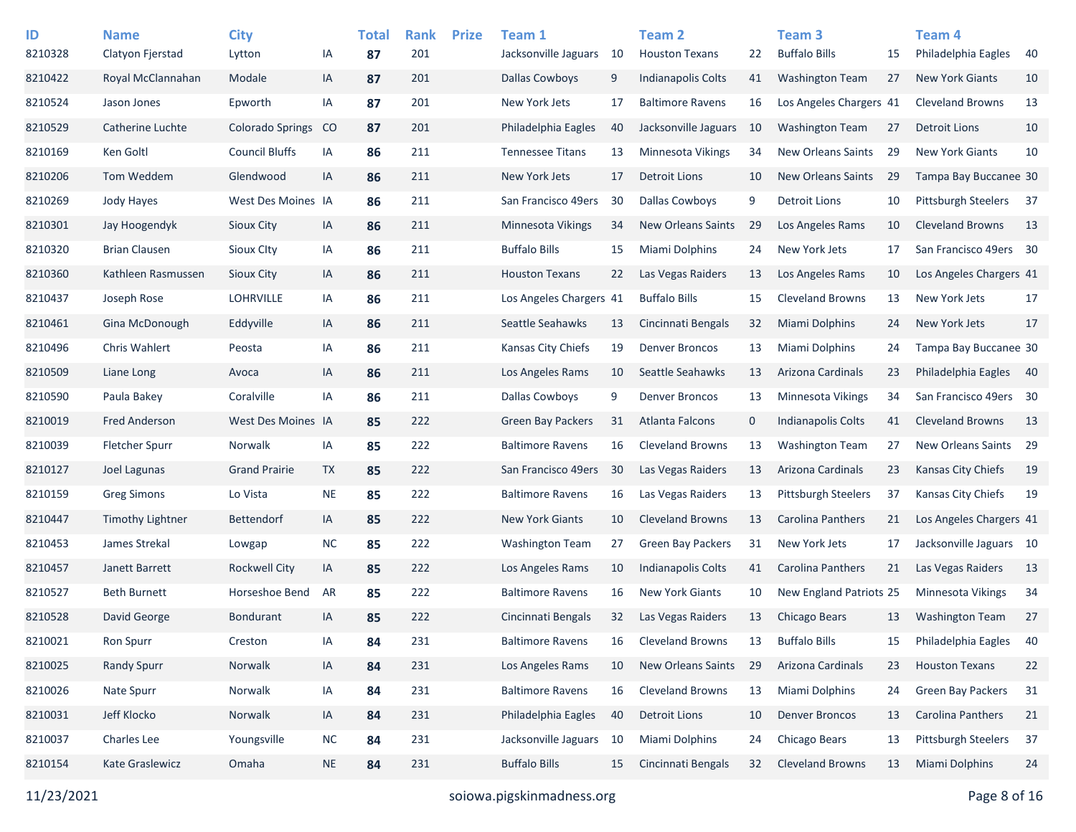| ID<br>8210328 | <b>Name</b><br>Clatyon Fjerstad | <b>City</b><br>Lytton   | ΙA        | <b>Total</b><br>87 | <b>Rank</b><br>201 | <b>Prize</b> | Team 1<br>Jacksonville Jaguars | 10 | <b>Team 2</b><br><b>Houston Texans</b> | 22          | Team <sub>3</sub><br><b>Buffalo Bills</b> | 15 | Team <sub>4</sub><br>Philadelphia Eagles | 40   |
|---------------|---------------------------------|-------------------------|-----------|--------------------|--------------------|--------------|--------------------------------|----|----------------------------------------|-------------|-------------------------------------------|----|------------------------------------------|------|
| 8210422       | Royal McClannahan               | Modale                  | IA        | 87                 | 201                |              | <b>Dallas Cowboys</b>          | 9  | Indianapolis Colts                     | 41          | <b>Washington Team</b>                    | 27 | <b>New York Giants</b>                   | 10   |
| 8210524       | Jason Jones                     | Epworth                 | ΙA        | 87                 | 201                |              | New York Jets                  | 17 | <b>Baltimore Ravens</b>                | 16          | Los Angeles Chargers 41                   |    | <b>Cleveland Browns</b>                  | 13   |
| 8210529       | Catherine Luchte                | <b>Colorado Springs</b> | CO        | 87                 | 201                |              | Philadelphia Eagles            | 40 | Jacksonville Jaguars                   | 10          | <b>Washington Team</b>                    | 27 | <b>Detroit Lions</b>                     | 10   |
| 8210169       | Ken Goltl                       | <b>Council Bluffs</b>   | IA        | 86                 | 211                |              | <b>Tennessee Titans</b>        | 13 | Minnesota Vikings                      | 34          | New Orleans Saints                        | 29 | <b>New York Giants</b>                   | 10   |
| 8210206       | Tom Weddem                      | Glendwood               | IA        | 86                 | 211                |              | New York Jets                  | 17 | Detroit Lions                          | 10          | <b>New Orleans Saints</b>                 | 29 | Tampa Bay Buccanee 30                    |      |
| 8210269       | Jody Hayes                      | West Des Moines IA      |           | 86                 | 211                |              | San Francisco 49ers            | 30 | <b>Dallas Cowboys</b>                  | 9           | <b>Detroit Lions</b>                      | 10 | Pittsburgh Steelers                      | - 37 |
| 8210301       | Jay Hoogendyk                   | Sioux City              | IA        | 86                 | 211                |              | <b>Minnesota Vikings</b>       | 34 | <b>New Orleans Saints</b>              | 29          | Los Angeles Rams                          | 10 | <b>Cleveland Browns</b>                  | 13   |
| 8210320       | <b>Brian Clausen</b>            | Sioux Clty              | ΙA        | 86                 | 211                |              | <b>Buffalo Bills</b>           | 15 | Miami Dolphins                         | 24          | New York Jets                             | 17 | San Francisco 49ers 30                   |      |
| 8210360       | Kathleen Rasmussen              | Sioux City              | IA        | 86                 | 211                |              | <b>Houston Texans</b>          | 22 | Las Vegas Raiders                      | 13          | Los Angeles Rams                          | 10 | Los Angeles Chargers 41                  |      |
| 8210437       | Joseph Rose                     | <b>LOHRVILLE</b>        | IA        | 86                 | 211                |              | Los Angeles Chargers 41        |    | <b>Buffalo Bills</b>                   | 15          | <b>Cleveland Browns</b>                   | 13 | New York Jets                            | 17   |
| 8210461       | Gina McDonough                  | Eddyville               | IA        | 86                 | 211                |              | Seattle Seahawks               | 13 | Cincinnati Bengals                     | 32          | <b>Miami Dolphins</b>                     | 24 | New York Jets                            | 17   |
| 8210496       | Chris Wahlert                   | Peosta                  | ΙA        | 86                 | 211                |              | Kansas City Chiefs             | 19 | <b>Denver Broncos</b>                  | 13          | <b>Miami Dolphins</b>                     | 24 | Tampa Bay Buccanee 30                    |      |
| 8210509       | Liane Long                      | Avoca                   | IA        | 86                 | 211                |              | Los Angeles Rams               | 10 | Seattle Seahawks                       | 13          | Arizona Cardinals                         | 23 | Philadelphia Eagles                      | - 40 |
| 8210590       | Paula Bakey                     | Coralville              | ΙA        | 86                 | 211                |              | Dallas Cowboys                 | 9  | <b>Denver Broncos</b>                  | 13          | Minnesota Vikings                         | 34 | San Francisco 49ers 30                   |      |
| 8210019       | <b>Fred Anderson</b>            | West Des Moines IA      |           | 85                 | 222                |              | <b>Green Bay Packers</b>       | 31 | Atlanta Falcons                        | $\mathbf 0$ | Indianapolis Colts                        | 41 | <b>Cleveland Browns</b>                  | 13   |
| 8210039       | <b>Fletcher Spurr</b>           | Norwalk                 | ΙA        | 85                 | 222                |              | <b>Baltimore Ravens</b>        | 16 | <b>Cleveland Browns</b>                | 13          | <b>Washington Team</b>                    | 27 | New Orleans Saints                       | 29   |
| 8210127       | Joel Lagunas                    | <b>Grand Prairie</b>    | TX        | 85                 | 222                |              | San Francisco 49ers            | 30 | Las Vegas Raiders                      | 13          | Arizona Cardinals                         | 23 | Kansas City Chiefs                       | 19   |
| 8210159       | <b>Greg Simons</b>              | Lo Vista                | <b>NE</b> | 85                 | 222                |              | <b>Baltimore Ravens</b>        | 16 | Las Vegas Raiders                      | 13          | <b>Pittsburgh Steelers</b>                | 37 | Kansas City Chiefs                       | 19   |
| 8210447       | Timothy Lightner                | <b>Bettendorf</b>       | IA        | 85                 | 222                |              | New York Giants                | 10 | <b>Cleveland Browns</b>                | 13          | <b>Carolina Panthers</b>                  | 21 | Los Angeles Chargers 41                  |      |
| 8210453       | James Strekal                   | Lowgap                  | <b>NC</b> | 85                 | 222                |              | <b>Washington Team</b>         | 27 | <b>Green Bay Packers</b>               | 31          | New York Jets                             | 17 | Jacksonville Jaguars 10                  |      |
| 8210457       | Janett Barrett                  | <b>Rockwell City</b>    | IA        | 85                 | 222                |              | Los Angeles Rams               | 10 | <b>Indianapolis Colts</b>              | 41          | <b>Carolina Panthers</b>                  | 21 | Las Vegas Raiders                        | 13   |
| 8210527       | <b>Beth Burnett</b>             | Horseshoe Bend          | AR        | 85                 | 222                |              | <b>Baltimore Ravens</b>        | 16 | <b>New York Giants</b>                 | 10          | New England Patriots 25                   |    | Minnesota Vikings                        | 34   |
| 8210528       | David George                    | <b>Bondurant</b>        | IA        | 85                 | 222                |              | Cincinnati Bengals             | 32 | Las Vegas Raiders                      | 13          | <b>Chicago Bears</b>                      | 13 | <b>Washington Team</b>                   | 27   |
| 8210021       | Ron Spurr                       | Creston                 | IA        | 84                 | 231                |              | <b>Baltimore Ravens</b>        | 16 | <b>Cleveland Browns</b>                | 13          | <b>Buffalo Bills</b>                      | 15 | Philadelphia Eagles                      | 40   |
| 8210025       | <b>Randy Spurr</b>              | Norwalk                 | IA        | 84                 | 231                |              | Los Angeles Rams               | 10 | New Orleans Saints                     | 29          | Arizona Cardinals                         | 23 | <b>Houston Texans</b>                    | 22   |
| 8210026       | Nate Spurr                      | Norwalk                 | IA        | 84                 | 231                |              | <b>Baltimore Ravens</b>        | 16 | <b>Cleveland Browns</b>                | 13          | Miami Dolphins                            | 24 | Green Bay Packers                        | 31   |
| 8210031       | Jeff Klocko                     | Norwalk                 | IA        | 84                 | 231                |              | Philadelphia Eagles            | 40 | <b>Detroit Lions</b>                   | 10          | <b>Denver Broncos</b>                     | 13 | Carolina Panthers                        | 21   |
| 8210037       | Charles Lee                     | Youngsville             | NC        | 84                 | 231                |              | Jacksonville Jaguars           | 10 | Miami Dolphins                         | 24          | <b>Chicago Bears</b>                      | 13 | Pittsburgh Steelers                      | 37   |
| 8210154       | Kate Graslewicz                 | Omaha                   | <b>NE</b> | 84                 | 231                |              | <b>Buffalo Bills</b>           | 15 | Cincinnati Bengals                     | 32          | <b>Cleveland Browns</b>                   | 13 | Miami Dolphins                           | 24   |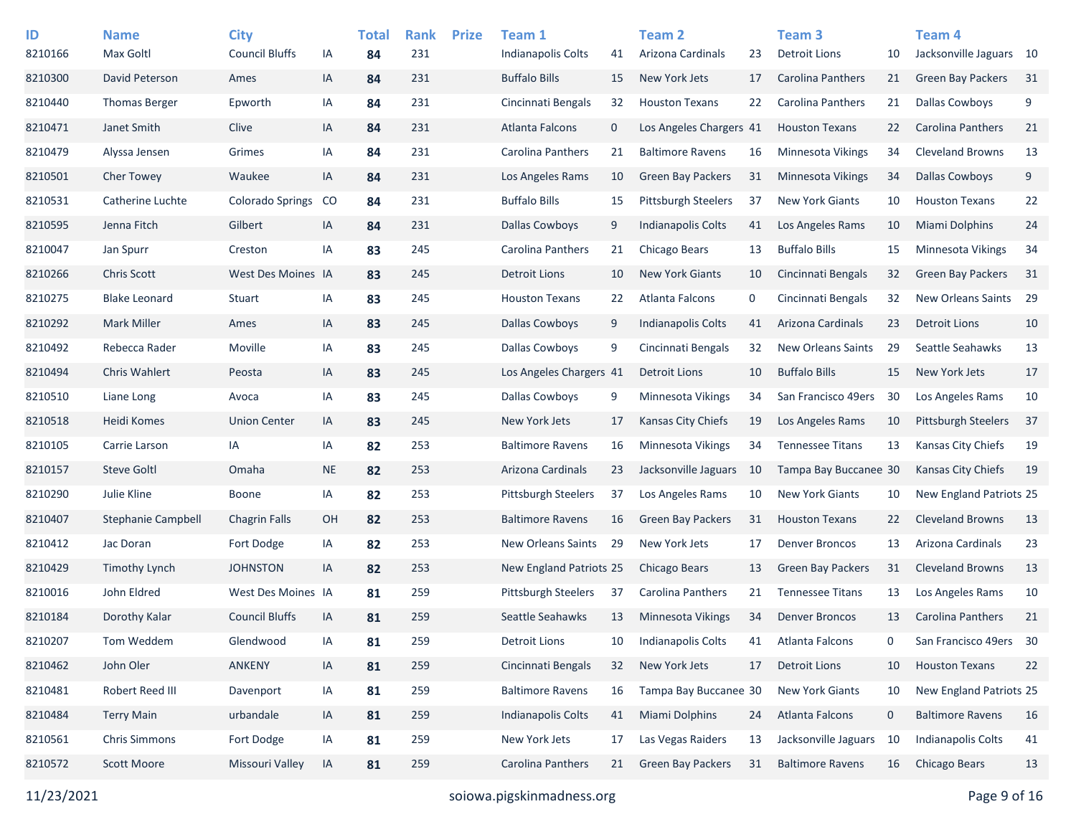| ID<br>8210166 | <b>Name</b><br>Max Goltl | <b>City</b><br><b>Council Bluffs</b> | IA        | <b>Total</b><br>84 | <b>Rank</b><br>231 | <b>Prize</b> | Team 1<br>Indianapolis Colts | 41          | <b>Team 2</b><br>Arizona Cardinals | 23 | Team <sub>3</sub><br><b>Detroit Lions</b> | 10          | Team <sub>4</sub><br>Jacksonville Jaguars 10 |     |
|---------------|--------------------------|--------------------------------------|-----------|--------------------|--------------------|--------------|------------------------------|-------------|------------------------------------|----|-------------------------------------------|-------------|----------------------------------------------|-----|
| 8210300       | David Peterson           | Ames                                 | IA        | 84                 | 231                |              | <b>Buffalo Bills</b>         | 15          | New York Jets                      | 17 | Carolina Panthers                         | 21          | <b>Green Bay Packers</b>                     | -31 |
| 8210440       | <b>Thomas Berger</b>     | Epworth                              | IA        | 84                 | 231                |              | Cincinnati Bengals           | 32          | <b>Houston Texans</b>              | 22 | Carolina Panthers                         | 21          | <b>Dallas Cowboys</b>                        | 9   |
| 8210471       | Janet Smith              | Clive                                | IA        | 84                 | 231                |              | <b>Atlanta Falcons</b>       | $\mathbf 0$ | Los Angeles Chargers 41            |    | <b>Houston Texans</b>                     | 22          | Carolina Panthers                            | 21  |
| 8210479       | Alyssa Jensen            | Grimes                               | IA        | 84                 | 231                |              | Carolina Panthers            | 21          | <b>Baltimore Ravens</b>            | 16 | <b>Minnesota Vikings</b>                  | 34          | <b>Cleveland Browns</b>                      | 13  |
| 8210501       | <b>Cher Towey</b>        | Waukee                               | IA        | 84                 | 231                |              | Los Angeles Rams             | 10          | <b>Green Bay Packers</b>           | 31 | <b>Minnesota Vikings</b>                  | 34          | <b>Dallas Cowboys</b>                        | 9   |
| 8210531       | Catherine Luchte         | <b>Colorado Springs</b>              | CO        | 84                 | 231                |              | <b>Buffalo Bills</b>         | 15          | <b>Pittsburgh Steelers</b>         | 37 | <b>New York Giants</b>                    | 10          | <b>Houston Texans</b>                        | 22  |
| 8210595       | Jenna Fitch              | Gilbert                              | IA        | 84                 | 231                |              | <b>Dallas Cowboys</b>        | 9           | <b>Indianapolis Colts</b>          | 41 | Los Angeles Rams                          | 10          | Miami Dolphins                               | 24  |
| 8210047       | Jan Spurr                | Creston                              | IA        | 83                 | 245                |              | Carolina Panthers            | 21          | Chicago Bears                      | 13 | <b>Buffalo Bills</b>                      | 15          | <b>Minnesota Vikings</b>                     | 34  |
| 8210266       | <b>Chris Scott</b>       | West Des Moines IA                   |           | 83                 | 245                |              | <b>Detroit Lions</b>         | 10          | <b>New York Giants</b>             | 10 | Cincinnati Bengals                        | 32          | <b>Green Bay Packers</b>                     | 31  |
| 8210275       | <b>Blake Leonard</b>     | <b>Stuart</b>                        | IA        | 83                 | 245                |              | <b>Houston Texans</b>        | 22          | Atlanta Falcons                    | 0  | Cincinnati Bengals                        | 32          | New Orleans Saints                           | 29  |
| 8210292       | Mark Miller              | Ames                                 | IA        | 83                 | 245                |              | Dallas Cowboys               | 9           | Indianapolis Colts                 | 41 | Arizona Cardinals                         | 23          | <b>Detroit Lions</b>                         | 10  |
| 8210492       | Rebecca Rader            | Moville                              | IA        | 83                 | 245                |              | <b>Dallas Cowboys</b>        | 9           | Cincinnati Bengals                 | 32 | <b>New Orleans Saints</b>                 | 29          | Seattle Seahawks                             | 13  |
| 8210494       | <b>Chris Wahlert</b>     | Peosta                               | IA        | 83                 | 245                |              | Los Angeles Chargers 41      |             | Detroit Lions                      | 10 | <b>Buffalo Bills</b>                      | 15          | New York Jets                                | 17  |
| 8210510       | Liane Long               | Avoca                                | IA        | 83                 | 245                |              | <b>Dallas Cowboys</b>        | 9           | Minnesota Vikings                  | 34 | San Francisco 49ers                       | 30          | Los Angeles Rams                             | 10  |
| 8210518       | Heidi Komes              | <b>Union Center</b>                  | IA        | 83                 | 245                |              | New York Jets                | 17          | Kansas City Chiefs                 | 19 | Los Angeles Rams                          | 10          | <b>Pittsburgh Steelers</b>                   | 37  |
| 8210105       | Carrie Larson            | IA                                   | IA        | 82                 | 253                |              | <b>Baltimore Ravens</b>      | 16          | Minnesota Vikings                  | 34 | <b>Tennessee Titans</b>                   | 13          | Kansas City Chiefs                           | 19  |
| 8210157       | <b>Steve Goltl</b>       | Omaha                                | <b>NE</b> | 82                 | 253                |              | Arizona Cardinals            | 23          | Jacksonville Jaguars               | 10 | Tampa Bay Buccanee 30                     |             | <b>Kansas City Chiefs</b>                    | 19  |
| 8210290       | Julie Kline              | <b>Boone</b>                         | IA        | 82                 | 253                |              | <b>Pittsburgh Steelers</b>   | 37          | Los Angeles Rams                   | 10 | <b>New York Giants</b>                    | 10          | New England Patriots 25                      |     |
| 8210407       | Stephanie Campbell       | <b>Chagrin Falls</b>                 | OH        | 82                 | 253                |              | <b>Baltimore Ravens</b>      | 16          | <b>Green Bay Packers</b>           | 31 | <b>Houston Texans</b>                     | 22          | <b>Cleveland Browns</b>                      | 13  |
| 8210412       | Jac Doran                | Fort Dodge                           | IA        | 82                 | 253                |              | <b>New Orleans Saints</b>    | 29          | New York Jets                      | 17 | <b>Denver Broncos</b>                     | 13          | Arizona Cardinals                            | 23  |
| 8210429       | Timothy Lynch            | <b>JOHNSTON</b>                      | IA        | 82                 | 253                |              | New England Patriots 25      |             | Chicago Bears                      | 13 | <b>Green Bay Packers</b>                  | 31          | <b>Cleveland Browns</b>                      | 13  |
| 8210016       | John Eldred              | West Des Moines IA                   |           | 81                 | 259                |              | <b>Pittsburgh Steelers</b>   | 37          | <b>Carolina Panthers</b>           | 21 | <b>Tennessee Titans</b>                   | 13          | Los Angeles Rams                             | 10  |
| 8210184       | Dorothy Kalar            | <b>Council Bluffs</b>                | IA        | 81                 | 259                |              | Seattle Seahawks             | 13          | <b>Minnesota Vikings</b>           | 34 | <b>Denver Broncos</b>                     | 13          | <b>Carolina Panthers</b>                     | 21  |
| 8210207       | Tom Weddem               | Glendwood                            | IA        | 81                 | 259                |              | <b>Detroit Lions</b>         | 10          | Indianapolis Colts                 | 41 | Atlanta Falcons                           | 0           | San Francisco 49ers 30                       |     |
| 8210462       | John Oler                | <b>ANKENY</b>                        | IA        | 81                 | 259                |              | Cincinnati Bengals           | 32          | New York Jets                      | 17 | <b>Detroit Lions</b>                      | 10          | <b>Houston Texans</b>                        | 22  |
| 8210481       | Robert Reed III          | Davenport                            | IA        | 81                 | 259                |              | <b>Baltimore Ravens</b>      | 16          | Tampa Bay Buccanee 30              |    | <b>New York Giants</b>                    | 10          | New England Patriots 25                      |     |
| 8210484       | <b>Terry Main</b>        | urbandale                            | IA        | 81                 | 259                |              | Indianapolis Colts           | 41          | <b>Miami Dolphins</b>              | 24 | Atlanta Falcons                           | $\mathbf 0$ | <b>Baltimore Ravens</b>                      | 16  |
| 8210561       | <b>Chris Simmons</b>     | Fort Dodge                           | IA        | 81                 | 259                |              | New York Jets                | 17          | Las Vegas Raiders                  | 13 | Jacksonville Jaguars 10                   |             | <b>Indianapolis Colts</b>                    | 41  |
| 8210572       | Scott Moore              | Missouri Valley                      | IA        | 81                 | 259                |              | Carolina Panthers            | 21          | <b>Green Bay Packers</b>           | 31 | <b>Baltimore Ravens</b>                   | 16          | Chicago Bears                                | 13  |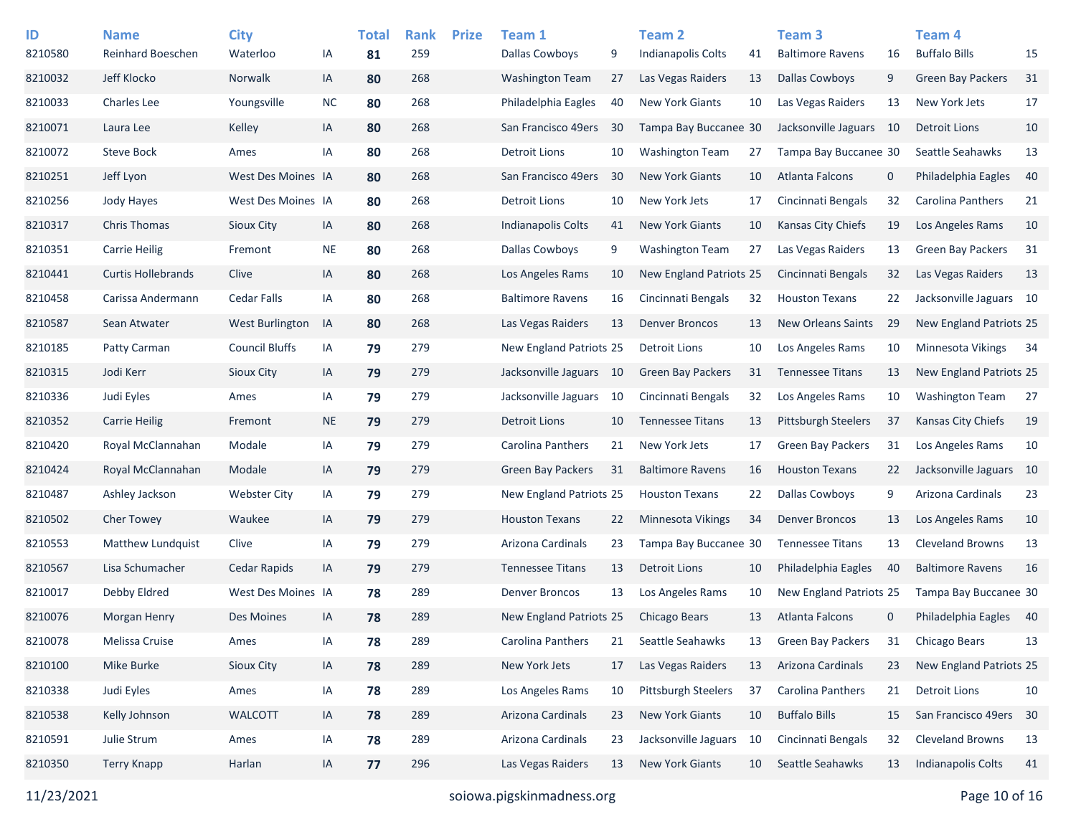| ID<br>8210580 | <b>Name</b><br>Reinhard Boeschen | <b>City</b><br>Waterloo | IA        | <b>Total</b><br>81 | <b>Rank</b><br>259 | <b>Prize</b> | Team 1<br><b>Dallas Cowboys</b> | 9  | <b>Team 2</b><br><b>Indianapolis Colts</b> | 41   | Team <sub>3</sub><br><b>Baltimore Ravens</b> | 16          | Team <sub>4</sub><br><b>Buffalo Bills</b> | 15 |
|---------------|----------------------------------|-------------------------|-----------|--------------------|--------------------|--------------|---------------------------------|----|--------------------------------------------|------|----------------------------------------------|-------------|-------------------------------------------|----|
| 8210032       | Jeff Klocko                      | Norwalk                 | IA        | 80                 | 268                |              | <b>Washington Team</b>          | 27 | Las Vegas Raiders                          | 13   | Dallas Cowboys                               | 9           | <b>Green Bay Packers</b>                  | 31 |
| 8210033       | <b>Charles Lee</b>               | Youngsville             | <b>NC</b> | 80                 | 268                |              | Philadelphia Eagles             | 40 | <b>New York Giants</b>                     | 10   | Las Vegas Raiders                            | 13          | New York Jets                             | 17 |
| 8210071       | Laura Lee                        | Kelley                  | IA        | 80                 | 268                |              | San Francisco 49ers             | 30 | Tampa Bay Buccanee 30                      |      | Jacksonville Jaguars                         | 10          | <b>Detroit Lions</b>                      | 10 |
| 8210072       | <b>Steve Bock</b>                | Ames                    | IA        | 80                 | 268                |              | <b>Detroit Lions</b>            | 10 | <b>Washington Team</b>                     | 27   | Tampa Bay Buccanee 30                        |             | Seattle Seahawks                          | 13 |
| 8210251       | Jeff Lyon                        | West Des Moines IA      |           | 80                 | 268                |              | San Francisco 49ers             | 30 | <b>New York Giants</b>                     | 10   | Atlanta Falcons                              | $\mathbf 0$ | Philadelphia Eagles                       | 40 |
| 8210256       | Jody Hayes                       | West Des Moines IA      |           | 80                 | 268                |              | <b>Detroit Lions</b>            | 10 | New York Jets                              | 17   | Cincinnati Bengals                           | 32          | Carolina Panthers                         | 21 |
| 8210317       | <b>Chris Thomas</b>              | Sioux City              | IA        | 80                 | 268                |              | Indianapolis Colts              | 41 | <b>New York Giants</b>                     | 10   | Kansas City Chiefs                           | 19          | Los Angeles Rams                          | 10 |
| 8210351       | <b>Carrie Heilig</b>             | Fremont                 | <b>NE</b> | 80                 | 268                |              | Dallas Cowboys                  | 9  | <b>Washington Team</b>                     | 27   | Las Vegas Raiders                            | 13          | <b>Green Bay Packers</b>                  | 31 |
| 8210441       | <b>Curtis Hollebrands</b>        | Clive                   | IA        | 80                 | 268                |              | Los Angeles Rams                | 10 | New England Patriots 25                    |      | Cincinnati Bengals                           | 32          | Las Vegas Raiders                         | 13 |
| 8210458       | Carissa Andermann                | Cedar Falls             | IA        | 80                 | 268                |              | <b>Baltimore Ravens</b>         | 16 | Cincinnati Bengals                         | 32   | <b>Houston Texans</b>                        | 22          | Jacksonville Jaguars 10                   |    |
| 8210587       | Sean Atwater                     | West Burlington         | IA        | 80                 | 268                |              | Las Vegas Raiders               | 13 | <b>Denver Broncos</b>                      | 13   | <b>New Orleans Saints</b>                    | 29          | New England Patriots 25                   |    |
| 8210185       | Patty Carman                     | <b>Council Bluffs</b>   | IA        | 79                 | 279                |              | New England Patriots 25         |    | <b>Detroit Lions</b>                       | 10   | Los Angeles Rams                             | 10          | Minnesota Vikings                         | 34 |
| 8210315       | Jodi Kerr                        | <b>Sioux City</b>       | IA        | 79                 | 279                |              | Jacksonville Jaguars 10         |    | <b>Green Bay Packers</b>                   | 31   | <b>Tennessee Titans</b>                      | 13          | New England Patriots 25                   |    |
| 8210336       | Judi Eyles                       | Ames                    | IA        | 79                 | 279                |              | Jacksonville Jaguars            | 10 | Cincinnati Bengals                         | 32   | Los Angeles Rams                             | 10          | Washington Team                           | 27 |
| 8210352       | <b>Carrie Heilig</b>             | Fremont                 | <b>NE</b> | 79                 | 279                |              | <b>Detroit Lions</b>            | 10 | <b>Tennessee Titans</b>                    | 13   | <b>Pittsburgh Steelers</b>                   | 37          | <b>Kansas City Chiefs</b>                 | 19 |
| 8210420       | Royal McClannahan                | Modale                  | IA        | 79                 | 279                |              | Carolina Panthers               | 21 | New York Jets                              | 17   | <b>Green Bay Packers</b>                     | 31          | Los Angeles Rams                          | 10 |
| 8210424       | Royal McClannahan                | Modale                  | IA        | 79                 | 279                |              | <b>Green Bay Packers</b>        | 31 | <b>Baltimore Ravens</b>                    | 16   | <b>Houston Texans</b>                        | 22          | Jacksonville Jaguars 10                   |    |
| 8210487       | Ashley Jackson                   | <b>Webster City</b>     | IA        | 79                 | 279                |              | New England Patriots 25         |    | <b>Houston Texans</b>                      | 22   | <b>Dallas Cowboys</b>                        | 9           | Arizona Cardinals                         | 23 |
| 8210502       | Cher Towey                       | Waukee                  | IA        | 79                 | 279                |              | <b>Houston Texans</b>           | 22 | Minnesota Vikings                          | 34   | <b>Denver Broncos</b>                        | 13          | Los Angeles Rams                          | 10 |
| 8210553       | Matthew Lundquist                | Clive                   | IA        | 79                 | 279                |              | Arizona Cardinals               | 23 | Tampa Bay Buccanee 30                      |      | <b>Tennessee Titans</b>                      | 13          | <b>Cleveland Browns</b>                   | 13 |
| 8210567       | Lisa Schumacher                  | <b>Cedar Rapids</b>     | IA        | 79                 | 279                |              | <b>Tennessee Titans</b>         | 13 | <b>Detroit Lions</b>                       | 10   | Philadelphia Eagles                          | 40          | <b>Baltimore Ravens</b>                   | 16 |
| 8210017       | Debby Eldred                     | West Des Moines IA      |           | 78                 | 289                |              | <b>Denver Broncos</b>           | 13 | Los Angeles Rams                           | 10   | New England Patriots 25                      |             | Tampa Bay Buccanee 30                     |    |
| 8210076       | <b>Morgan Henry</b>              | Des Moines              | IA        | 78                 | 289                |              | New England Patriots 25         |    | Chicago Bears                              | 13   | Atlanta Falcons                              | $\mathbf 0$ | Philadelphia Eagles 40                    |    |
| 8210078       | Melissa Cruise                   | Ames                    | IA        | 78                 | 289                |              | Carolina Panthers               | 21 | Seattle Seahawks                           | 13   | <b>Green Bay Packers</b>                     | 31          | Chicago Bears                             | 13 |
| 8210100       | Mike Burke                       | Sioux City              | IA        | 78                 | 289                |              | New York Jets                   | 17 | Las Vegas Raiders                          | 13   | Arizona Cardinals                            | 23          | New England Patriots 25                   |    |
| 8210338       | Judi Eyles                       | Ames                    | IA        | 78                 | 289                |              | Los Angeles Rams                | 10 | <b>Pittsburgh Steelers</b>                 | 37   | <b>Carolina Panthers</b>                     | 21          | <b>Detroit Lions</b>                      | 10 |
| 8210538       | Kelly Johnson                    | WALCOTT                 | IA        | 78                 | 289                |              | Arizona Cardinals               | 23 | New York Giants                            | 10   | <b>Buffalo Bills</b>                         | 15          | San Francisco 49ers 30                    |    |
| 8210591       | Julie Strum                      | Ames                    | IA        | 78                 | 289                |              | Arizona Cardinals               | 23 | Jacksonville Jaguars                       | - 10 | Cincinnati Bengals                           | 32          | <b>Cleveland Browns</b>                   | 13 |
| 8210350       | <b>Terry Knapp</b>               | Harlan                  | IA        | 77                 | 296                |              | Las Vegas Raiders               | 13 | New York Giants                            | 10   | Seattle Seahawks                             | 13          | Indianapolis Colts                        | 41 |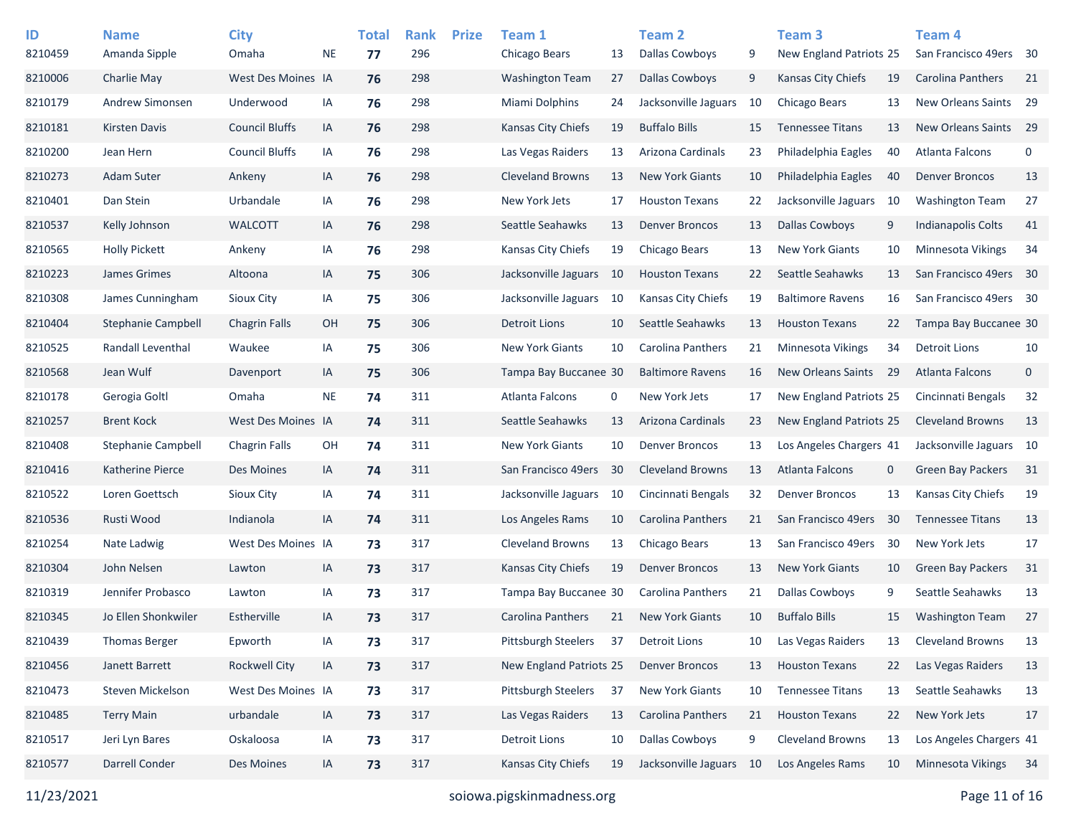| ID      | <b>Name</b>               | <b>City</b>           |           | <b>Total</b> | <b>Rank</b> | <b>Prize</b> | Team 1                     |     | <b>Team 2</b>            |    | Team <sub>3</sub>       |             | Team 4                   |             |
|---------|---------------------------|-----------------------|-----------|--------------|-------------|--------------|----------------------------|-----|--------------------------|----|-------------------------|-------------|--------------------------|-------------|
| 8210459 | Amanda Sipple             | Omaha                 | <b>NE</b> | 77           | 296         |              | Chicago Bears              | 13  | <b>Dallas Cowboys</b>    | 9  | New England Patriots 25 |             | San Francisco 49ers 30   |             |
| 8210006 | Charlie May               | West Des Moines IA    |           | 76           | 298         |              | <b>Washington Team</b>     | 27  | <b>Dallas Cowboys</b>    | 9  | Kansas City Chiefs      | 19          | Carolina Panthers        | 21          |
| 8210179 | Andrew Simonsen           | Underwood             | IA        | 76           | 298         |              | Miami Dolphins             | 24  | Jacksonville Jaguars     | 10 | Chicago Bears           | 13          | New Orleans Saints       | 29          |
| 8210181 | <b>Kirsten Davis</b>      | <b>Council Bluffs</b> | IA        | 76           | 298         |              | Kansas City Chiefs         | 19  | <b>Buffalo Bills</b>     | 15 | <b>Tennessee Titans</b> | 13          | New Orleans Saints       | 29          |
| 8210200 | Jean Hern                 | <b>Council Bluffs</b> | IA        | 76           | 298         |              | Las Vegas Raiders          | 13  | Arizona Cardinals        | 23 | Philadelphia Eagles     | 40          | <b>Atlanta Falcons</b>   | 0           |
| 8210273 | Adam Suter                | Ankeny                | IA        | 76           | 298         |              | <b>Cleveland Browns</b>    | 13  | <b>New York Giants</b>   | 10 | Philadelphia Eagles     | 40          | <b>Denver Broncos</b>    | 13          |
| 8210401 | Dan Stein                 | Urbandale             | IA        | 76           | 298         |              | New York Jets              | 17  | <b>Houston Texans</b>    | 22 | Jacksonville Jaguars    | - 10        | <b>Washington Team</b>   | 27          |
| 8210537 | Kelly Johnson             | <b>WALCOTT</b>        | IA        | 76           | 298         |              | Seattle Seahawks           | 13  | <b>Denver Broncos</b>    | 13 | <b>Dallas Cowboys</b>   | 9           | Indianapolis Colts       | 41          |
| 8210565 | <b>Holly Pickett</b>      | Ankeny                | ΙA        | 76           | 298         |              | Kansas City Chiefs         | 19  | Chicago Bears            | 13 | <b>New York Giants</b>  | 10          | Minnesota Vikings        | 34          |
| 8210223 | James Grimes              | Altoona               | IA        | 75           | 306         |              | Jacksonville Jaguars       | -10 | <b>Houston Texans</b>    | 22 | Seattle Seahawks        | 13          | San Francisco 49ers 30   |             |
| 8210308 | James Cunningham          | Sioux City            | IA        | 75           | 306         |              | Jacksonville Jaguars       | 10  | Kansas City Chiefs       | 19 | <b>Baltimore Ravens</b> | 16          | San Francisco 49ers 30   |             |
| 8210404 | Stephanie Campbell        | <b>Chagrin Falls</b>  | OН        | 75           | 306         |              | <b>Detroit Lions</b>       | 10  | Seattle Seahawks         | 13 | <b>Houston Texans</b>   | 22          | Tampa Bay Buccanee 30    |             |
| 8210525 | Randall Leventhal         | Waukee                | IA        | 75           | 306         |              | <b>New York Giants</b>     | 10  | <b>Carolina Panthers</b> | 21 | Minnesota Vikings       | 34          | <b>Detroit Lions</b>     | 10          |
| 8210568 | Jean Wulf                 | Davenport             | IA        | 75           | 306         |              | Tampa Bay Buccanee 30      |     | <b>Baltimore Ravens</b>  | 16 | New Orleans Saints      | - 29        | <b>Atlanta Falcons</b>   | $\mathbf 0$ |
| 8210178 | Gerogia Goltl             | Omaha                 | <b>NE</b> | 74           | 311         |              | Atlanta Falcons            | 0   | New York Jets            | 17 | New England Patriots 25 |             | Cincinnati Bengals       | 32          |
| 8210257 | <b>Brent Kock</b>         | West Des Moines IA    |           | 74           | 311         |              | Seattle Seahawks           | 13  | Arizona Cardinals        | 23 | New England Patriots 25 |             | <b>Cleveland Browns</b>  | 13          |
| 8210408 | <b>Stephanie Campbell</b> | <b>Chagrin Falls</b>  | ОH        | 74           | 311         |              | <b>New York Giants</b>     | 10  | <b>Denver Broncos</b>    | 13 | Los Angeles Chargers 41 |             | Jacksonville Jaguars 10  |             |
| 8210416 | Katherine Pierce          | Des Moines            | IA        | 74           | 311         |              | San Francisco 49ers        | 30  | <b>Cleveland Browns</b>  | 13 | Atlanta Falcons         | $\mathbf 0$ | <b>Green Bay Packers</b> | 31          |
| 8210522 | Loren Goettsch            | <b>Sioux City</b>     | IA        | 74           | 311         |              | Jacksonville Jaguars       | 10  | Cincinnati Bengals       | 32 | <b>Denver Broncos</b>   | 13          | Kansas City Chiefs       | 19          |
| 8210536 | Rusti Wood                | Indianola             | IA        | 74           | 311         |              | Los Angeles Rams           | 10  | Carolina Panthers        | 21 | San Francisco 49ers     | 30          | <b>Tennessee Titans</b>  | 13          |
| 8210254 | Nate Ladwig               | West Des Moines IA    |           | 73           | 317         |              | <b>Cleveland Browns</b>    | 13  | Chicago Bears            | 13 | San Francisco 49ers     | 30          | New York Jets            | 17          |
| 8210304 | John Nelsen               | Lawton                | IA        | 73           | 317         |              | Kansas City Chiefs         | 19  | <b>Denver Broncos</b>    | 13 | <b>New York Giants</b>  | 10          | <b>Green Bay Packers</b> | 31          |
| 8210319 | Jennifer Probasco         | Lawton                | IA        | 73           | 317         |              | Tampa Bay Buccanee 30      |     | Carolina Panthers        | 21 | Dallas Cowboys          | 9           | Seattle Seahawks         | 13          |
| 8210345 | Jo Ellen Shonkwiler       | Estherville           | IA        | 73           | 317         |              | <b>Carolina Panthers</b>   | 21  | <b>New York Giants</b>   | 10 | <b>Buffalo Bills</b>    | 15          | <b>Washington Team</b>   | 27          |
| 8210439 | <b>Thomas Berger</b>      | Epworth               | ΙA        | 73           | 317         |              | Pittsburgh Steelers        | 37  | <b>Detroit Lions</b>     | 10 | Las Vegas Raiders       | 13          | <b>Cleveland Browns</b>  | 13          |
| 8210456 | Janett Barrett            | <b>Rockwell City</b>  | IA        | 73           | 317         |              | New England Patriots 25    |     | <b>Denver Broncos</b>    | 13 | <b>Houston Texans</b>   | 22          | Las Vegas Raiders        | 13          |
| 8210473 | Steven Mickelson          | West Des Moines IA    |           | 73           | 317         |              | <b>Pittsburgh Steelers</b> | 37  | <b>New York Giants</b>   | 10 | <b>Tennessee Titans</b> | 13          | Seattle Seahawks         | 13          |
| 8210485 | <b>Terry Main</b>         | urbandale             | IA        | 73           | 317         |              | Las Vegas Raiders          | 13  | Carolina Panthers        | 21 | <b>Houston Texans</b>   | 22          | New York Jets            | 17          |
| 8210517 | Jeri Lyn Bares            | Oskaloosa             | IA        | 73           | 317         |              | <b>Detroit Lions</b>       | 10  | <b>Dallas Cowboys</b>    | 9  | <b>Cleveland Browns</b> | 13          | Los Angeles Chargers 41  |             |
| 8210577 | Darrell Conder            | Des Moines            | IA        | 73           | 317         |              | Kansas City Chiefs         | 19  | Jacksonville Jaguars 10  |    | Los Angeles Rams        | 10          | Minnesota Vikings        | 34          |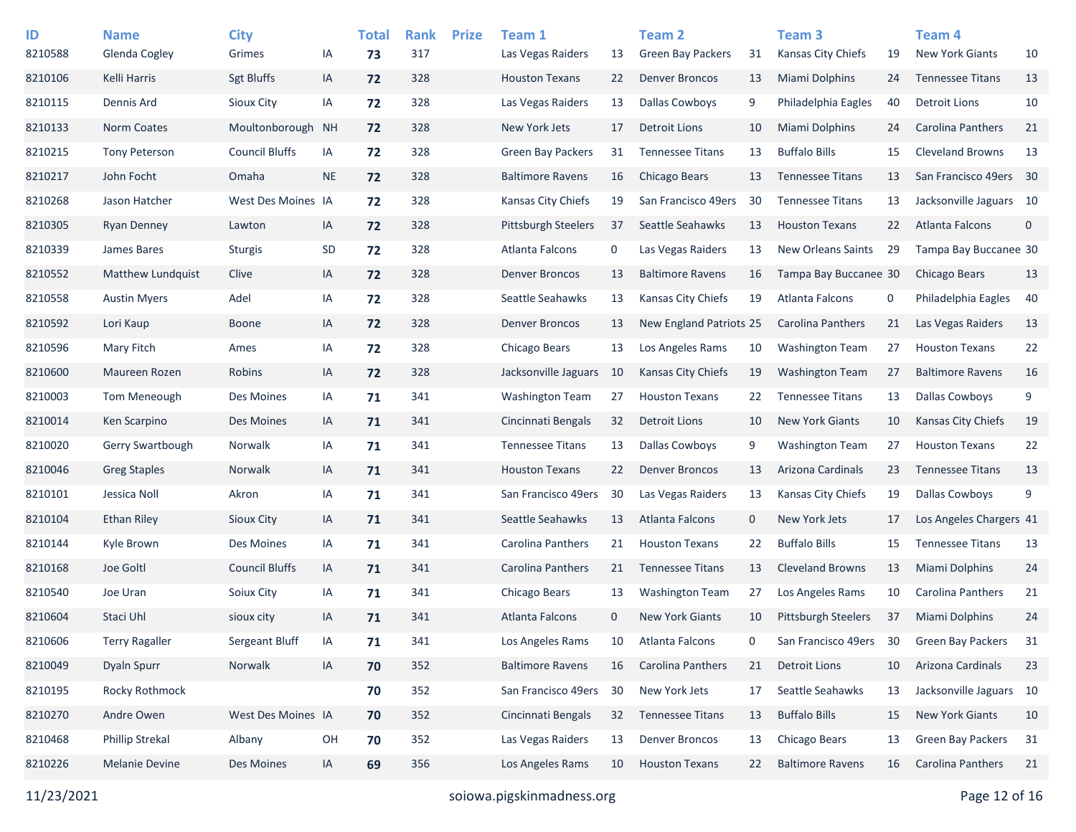| ID<br>8210588 | <b>Name</b><br>Glenda Cogley | <b>City</b><br>Grimes | IA        | <b>Total</b><br>73 | <b>Rank</b><br>317 | <b>Prize</b> | Team 1<br>Las Vegas Raiders | 13           | <b>Team 2</b><br><b>Green Bay Packers</b> | 31          | Team <sub>3</sub><br>Kansas City Chiefs | 19 | Team 4<br><b>New York Giants</b> | 10          |
|---------------|------------------------------|-----------------------|-----------|--------------------|--------------------|--------------|-----------------------------|--------------|-------------------------------------------|-------------|-----------------------------------------|----|----------------------------------|-------------|
| 8210106       | Kelli Harris                 | <b>Sgt Bluffs</b>     | IA        | 72                 | 328                |              | <b>Houston Texans</b>       | 22           | <b>Denver Broncos</b>                     | 13          | <b>Miami Dolphins</b>                   | 24 | <b>Tennessee Titans</b>          | 13          |
| 8210115       | Dennis Ard                   | Sioux City            | IA        | 72                 | 328                |              | Las Vegas Raiders           | 13           | <b>Dallas Cowboys</b>                     | 9           | Philadelphia Eagles                     | 40 | <b>Detroit Lions</b>             | 10          |
| 8210133       | Norm Coates                  | Moultonborough NH     |           | 72                 | 328                |              | New York Jets               | 17           | <b>Detroit Lions</b>                      | 10          | Miami Dolphins                          | 24 | Carolina Panthers                | 21          |
| 8210215       | <b>Tony Peterson</b>         | <b>Council Bluffs</b> | IA        | 72                 | 328                |              | <b>Green Bay Packers</b>    | 31           | <b>Tennessee Titans</b>                   | 13          | <b>Buffalo Bills</b>                    | 15 | <b>Cleveland Browns</b>          | 13          |
| 8210217       | John Focht                   | Omaha                 | <b>NE</b> | 72                 | 328                |              | <b>Baltimore Ravens</b>     | 16           | Chicago Bears                             | 13          | <b>Tennessee Titans</b>                 | 13 | San Francisco 49ers 30           |             |
| 8210268       | Jason Hatcher                | West Des Moines IA    |           | 72                 | 328                |              | Kansas City Chiefs          | 19           | San Francisco 49ers                       | 30          | <b>Tennessee Titans</b>                 | 13 | Jacksonville Jaguars 10          |             |
| 8210305       | <b>Ryan Denney</b>           | Lawton                | IA        | 72                 | 328                |              | <b>Pittsburgh Steelers</b>  | 37           | Seattle Seahawks                          | 13          | <b>Houston Texans</b>                   | 22 | Atlanta Falcons                  | $\mathbf 0$ |
| 8210339       | James Bares                  | <b>Sturgis</b>        | <b>SD</b> | 72                 | 328                |              | Atlanta Falcons             | 0            | Las Vegas Raiders                         | 13          | New Orleans Saints                      | 29 | Tampa Bay Buccanee 30            |             |
| 8210552       | Matthew Lundquist            | Clive                 | IA        | 72                 | 328                |              | <b>Denver Broncos</b>       | 13           | <b>Baltimore Ravens</b>                   | 16          | Tampa Bay Buccanee 30                   |    | <b>Chicago Bears</b>             | 13          |
| 8210558       | <b>Austin Myers</b>          | Adel                  | IA        | 72                 | 328                |              | Seattle Seahawks            | 13           | <b>Kansas City Chiefs</b>                 | 19          | Atlanta Falcons                         | 0  | Philadelphia Eagles              | 40          |
| 8210592       | Lori Kaup                    | <b>Boone</b>          | IA        | 72                 | 328                |              | <b>Denver Broncos</b>       | 13           | <b>New England Patriots 25</b>            |             | Carolina Panthers                       | 21 | Las Vegas Raiders                | 13          |
| 8210596       | Mary Fitch                   | Ames                  | IA        | 72                 | 328                |              | Chicago Bears               | 13           | Los Angeles Rams                          | 10          | <b>Washington Team</b>                  | 27 | <b>Houston Texans</b>            | 22          |
| 8210600       | Maureen Rozen                | Robins                | IA        | 72                 | 328                |              | Jacksonville Jaguars        | 10           | Kansas City Chiefs                        | 19          | <b>Washington Team</b>                  | 27 | <b>Baltimore Ravens</b>          | 16          |
| 8210003       | Tom Meneough                 | Des Moines            | IA        | 71                 | 341                |              | <b>Washington Team</b>      | 27           | <b>Houston Texans</b>                     | 22          | <b>Tennessee Titans</b>                 | 13 | Dallas Cowboys                   | 9           |
| 8210014       | Ken Scarpino                 | Des Moines            | IA        | 71                 | 341                |              | Cincinnati Bengals          | 32           | <b>Detroit Lions</b>                      | 10          | <b>New York Giants</b>                  | 10 | Kansas City Chiefs               | 19          |
| 8210020       | Gerry Swartbough             | Norwalk               | IA        | 71                 | 341                |              | <b>Tennessee Titans</b>     | 13           | <b>Dallas Cowboys</b>                     | 9           | <b>Washington Team</b>                  | 27 | <b>Houston Texans</b>            | 22          |
| 8210046       | <b>Greg Staples</b>          | Norwalk               | IA        | 71                 | 341                |              | <b>Houston Texans</b>       | 22           | <b>Denver Broncos</b>                     | 13          | Arizona Cardinals                       | 23 | <b>Tennessee Titans</b>          | 13          |
| 8210101       | Jessica Noll                 | Akron                 | IA        | 71                 | 341                |              | San Francisco 49ers         | 30           | Las Vegas Raiders                         | 13          | Kansas City Chiefs                      | 19 | <b>Dallas Cowboys</b>            | 9           |
| 8210104       | Ethan Riley                  | Sioux City            | IA        | 71                 | 341                |              | Seattle Seahawks            | 13           | Atlanta Falcons                           | $\mathbf 0$ | <b>New York Jets</b>                    | 17 | Los Angeles Chargers 41          |             |
| 8210144       | Kyle Brown                   | Des Moines            | IA        | 71                 | 341                |              | Carolina Panthers           | 21           | <b>Houston Texans</b>                     | 22          | <b>Buffalo Bills</b>                    | 15 | <b>Tennessee Titans</b>          | 13          |
| 8210168       | Joe Goltl                    | <b>Council Bluffs</b> | IA        | 71                 | 341                |              | Carolina Panthers           | 21           | <b>Tennessee Titans</b>                   | 13          | <b>Cleveland Browns</b>                 | 13 | Miami Dolphins                   | 24          |
| 8210540       | Joe Uran                     | Soiux City            | IA        | 71                 | 341                |              | Chicago Bears               | 13           | <b>Washington Team</b>                    | 27          | Los Angeles Rams                        | 10 | Carolina Panthers                | 21          |
| 8210604       | Staci Uhl                    | sioux city            | IA        | 71                 | 341                |              | <b>Atlanta Falcons</b>      | $\mathbf{0}$ | <b>New York Giants</b>                    | 10          | <b>Pittsburgh Steelers</b>              | 37 | Miami Dolphins                   | 24          |
| 8210606       | <b>Terry Ragaller</b>        | Sergeant Bluff        | IA        | 71                 | 341                |              | Los Angeles Rams            | 10           | Atlanta Falcons                           | 0           | San Francisco 49ers                     | 30 | Green Bay Packers                | 31          |
| 8210049       | Dyaln Spurr                  | Norwalk               | IA        | 70                 | 352                |              | <b>Baltimore Ravens</b>     | 16           | Carolina Panthers                         | 21          | <b>Detroit Lions</b>                    | 10 | Arizona Cardinals                | 23          |
| 8210195       | Rocky Rothmock               |                       |           | 70                 | 352                |              | San Francisco 49ers         | 30           | New York Jets                             | 17          | Seattle Seahawks                        | 13 | Jacksonville Jaguars 10          |             |
| 8210270       | Andre Owen                   | West Des Moines IA    |           | 70                 | 352                |              | Cincinnati Bengals          | 32           | <b>Tennessee Titans</b>                   | 13          | <b>Buffalo Bills</b>                    | 15 | New York Giants                  | 10          |
| 8210468       | Phillip Strekal              | Albany                | OH        | 70                 | 352                |              | Las Vegas Raiders           | 13           | <b>Denver Broncos</b>                     | 13          | Chicago Bears                           | 13 | Green Bay Packers                | 31          |
| 8210226       | <b>Melanie Devine</b>        | Des Moines            | IA        | 69                 | 356                |              | Los Angeles Rams            | 10           | <b>Houston Texans</b>                     | 22          | <b>Baltimore Ravens</b>                 | 16 | Carolina Panthers                | 21          |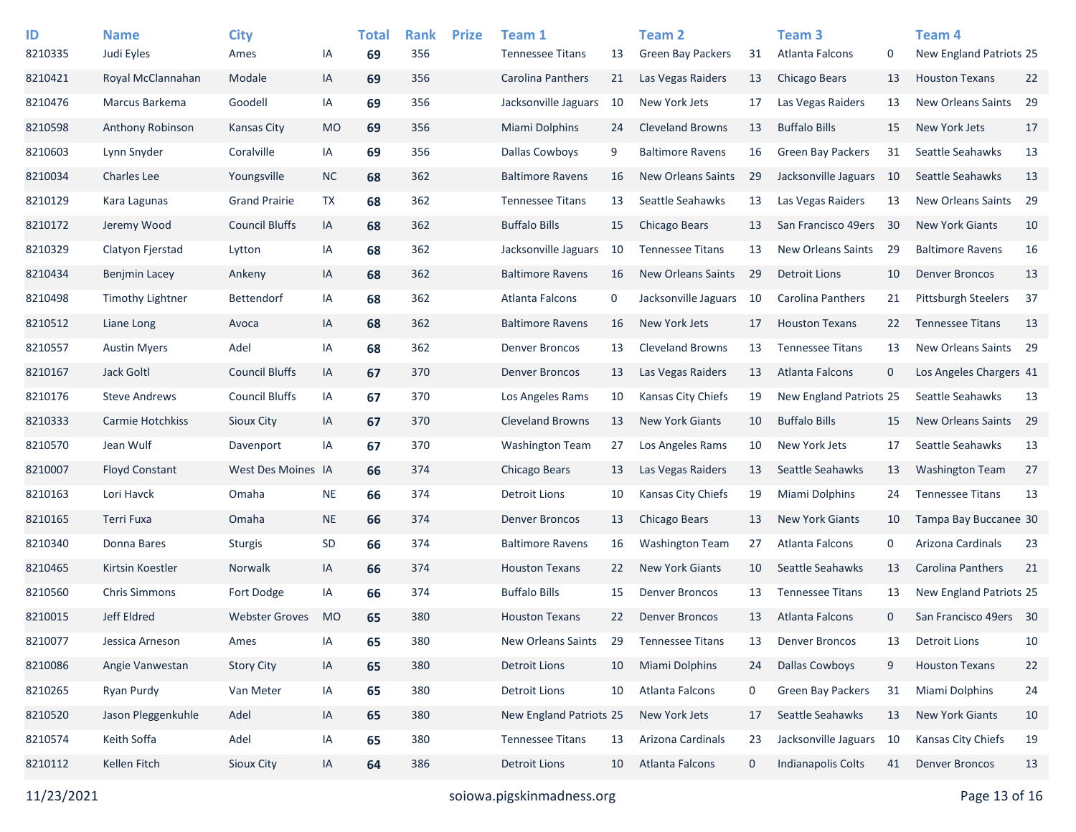| ID      | <b>Name</b>           | <b>City</b>           |           | <b>Total</b> | <b>Rank</b> | <b>Prize</b> | Team 1                  |    | <b>Team 2</b>             |    | Team <sub>3</sub>         |             | Team <sub>4</sub>          |    |
|---------|-----------------------|-----------------------|-----------|--------------|-------------|--------------|-------------------------|----|---------------------------|----|---------------------------|-------------|----------------------------|----|
| 8210335 | Judi Eyles            | Ames                  | IA        | 69           | 356         |              | <b>Tennessee Titans</b> | 13 | <b>Green Bay Packers</b>  | 31 | <b>Atlanta Falcons</b>    | 0           | New England Patriots 25    |    |
| 8210421 | Royal McClannahan     | Modale                | IA        | 69           | 356         |              | Carolina Panthers       | 21 | Las Vegas Raiders         | 13 | Chicago Bears             | 13          | <b>Houston Texans</b>      | 22 |
| 8210476 | Marcus Barkema        | Goodell               | IA        | 69           | 356         |              | Jacksonville Jaguars    | 10 | New York Jets             | 17 | Las Vegas Raiders         | 13          | New Orleans Saints         | 29 |
| 8210598 | Anthony Robinson      | Kansas City           | <b>MO</b> | 69           | 356         |              | Miami Dolphins          | 24 | <b>Cleveland Browns</b>   | 13 | <b>Buffalo Bills</b>      | 15          | New York Jets              | 17 |
| 8210603 | Lynn Snyder           | Coralville            | IA        | 69           | 356         |              | Dallas Cowboys          | 9  | <b>Baltimore Ravens</b>   | 16 | <b>Green Bay Packers</b>  | 31          | Seattle Seahawks           | 13 |
| 8210034 | <b>Charles Lee</b>    | Youngsville           | <b>NC</b> | 68           | 362         |              | <b>Baltimore Ravens</b> | 16 | <b>New Orleans Saints</b> | 29 | Jacksonville Jaguars      | - 10        | Seattle Seahawks           | 13 |
| 8210129 | Kara Lagunas          | <b>Grand Prairie</b>  | TX        | 68           | 362         |              | <b>Tennessee Titans</b> | 13 | Seattle Seahawks          | 13 | Las Vegas Raiders         | 13          | New Orleans Saints         | 29 |
| 8210172 | Jeremy Wood           | <b>Council Bluffs</b> | IA        | 68           | 362         |              | <b>Buffalo Bills</b>    | 15 | Chicago Bears             | 13 | San Francisco 49ers       | -30         | <b>New York Giants</b>     | 10 |
| 8210329 | Clatyon Fjerstad      | Lytton                | IA        | 68           | 362         |              | Jacksonville Jaguars    | 10 | <b>Tennessee Titans</b>   | 13 | New Orleans Saints        | 29          | <b>Baltimore Ravens</b>    | 16 |
| 8210434 | <b>Benjmin Lacey</b>  | Ankeny                | IA        | 68           | 362         |              | <b>Baltimore Ravens</b> | 16 | <b>New Orleans Saints</b> | 29 | <b>Detroit Lions</b>      | 10          | <b>Denver Broncos</b>      | 13 |
| 8210498 | Timothy Lightner      | Bettendorf            | IA        | 68           | 362         |              | Atlanta Falcons         | 0  | Jacksonville Jaguars      | 10 | Carolina Panthers         | 21          | <b>Pittsburgh Steelers</b> | 37 |
| 8210512 | Liane Long            | Avoca                 | IA        | 68           | 362         |              | <b>Baltimore Ravens</b> | 16 | New York Jets             | 17 | <b>Houston Texans</b>     | 22          | <b>Tennessee Titans</b>    | 13 |
| 8210557 | <b>Austin Myers</b>   | Adel                  | ΙA        | 68           | 362         |              | <b>Denver Broncos</b>   | 13 | <b>Cleveland Browns</b>   | 13 | <b>Tennessee Titans</b>   | 13          | New Orleans Saints         | 29 |
| 8210167 | Jack Goltl            | <b>Council Bluffs</b> | IA        | 67           | 370         |              | <b>Denver Broncos</b>   | 13 | Las Vegas Raiders         | 13 | <b>Atlanta Falcons</b>    | $\mathbf 0$ | Los Angeles Chargers 41    |    |
| 8210176 | <b>Steve Andrews</b>  | <b>Council Bluffs</b> | IA        | 67           | 370         |              | Los Angeles Rams        | 10 | Kansas City Chiefs        | 19 | New England Patriots 25   |             | Seattle Seahawks           | 13 |
| 8210333 | Carmie Hotchkiss      | Sioux City            | IA        | 67           | 370         |              | <b>Cleveland Browns</b> | 13 | <b>New York Giants</b>    | 10 | <b>Buffalo Bills</b>      | 15          | New Orleans Saints         | 29 |
| 8210570 | Jean Wulf             | Davenport             | ΙA        | 67           | 370         |              | <b>Washington Team</b>  | 27 | Los Angeles Rams          | 10 | New York Jets             | 17          | Seattle Seahawks           | 13 |
| 8210007 | <b>Floyd Constant</b> | West Des Moines IA    |           | 66           | 374         |              | Chicago Bears           | 13 | Las Vegas Raiders         | 13 | Seattle Seahawks          | 13          | <b>Washington Team</b>     | 27 |
| 8210163 | Lori Havck            | Omaha                 | <b>NE</b> | 66           | 374         |              | <b>Detroit Lions</b>    | 10 | Kansas City Chiefs        | 19 | Miami Dolphins            | 24          | <b>Tennessee Titans</b>    | 13 |
| 8210165 | Terri Fuxa            | Omaha                 | <b>NE</b> | 66           | 374         |              | <b>Denver Broncos</b>   | 13 | Chicago Bears             | 13 | <b>New York Giants</b>    | 10          | Tampa Bay Buccanee 30      |    |
| 8210340 | Donna Bares           | <b>Sturgis</b>        | SD        | 66           | 374         |              | <b>Baltimore Ravens</b> | 16 | <b>Washington Team</b>    | 27 | Atlanta Falcons           | 0           | Arizona Cardinals          | 23 |
| 8210465 | Kirtsin Koestler      | <b>Norwalk</b>        | IA        | 66           | 374         |              | <b>Houston Texans</b>   | 22 | <b>New York Giants</b>    | 10 | Seattle Seahawks          | 13          | <b>Carolina Panthers</b>   | 21 |
| 8210560 | <b>Chris Simmons</b>  | Fort Dodge            | IA        | 66           | 374         |              | <b>Buffalo Bills</b>    | 15 | <b>Denver Broncos</b>     | 13 | <b>Tennessee Titans</b>   | 13          | New England Patriots 25    |    |
| 8210015 | Jeff Eldred           | <b>Webster Groves</b> | <b>MO</b> | 65           | 380         |              | <b>Houston Texans</b>   | 22 | <b>Denver Broncos</b>     | 13 | <b>Atlanta Falcons</b>    | $\mathbf 0$ | San Francisco 49ers 30     |    |
| 8210077 | Jessica Arneson       | Ames                  | IA        | 65           | 380         |              | New Orleans Saints      | 29 | <b>Tennessee Titans</b>   | 13 | <b>Denver Broncos</b>     | 13          | <b>Detroit Lions</b>       | 10 |
| 8210086 | Angie Vanwestan       | <b>Story City</b>     | IA        | 65           | 380         |              | <b>Detroit Lions</b>    | 10 | <b>Miami Dolphins</b>     | 24 | <b>Dallas Cowboys</b>     | 9           | <b>Houston Texans</b>      | 22 |
| 8210265 | Ryan Purdy            | Van Meter             | IA        | 65           | 380         |              | <b>Detroit Lions</b>    | 10 | Atlanta Falcons           | 0  | <b>Green Bay Packers</b>  | 31          | Miami Dolphins             | 24 |
| 8210520 | Jason Pleggenkuhle    | Adel                  | IA        | 65           | 380         |              | New England Patriots 25 |    | New York Jets             | 17 | Seattle Seahawks          | 13          | New York Giants            | 10 |
| 8210574 | Keith Soffa           | Adel                  | IA        | 65           | 380         |              | <b>Tennessee Titans</b> | 13 | Arizona Cardinals         | 23 | Jacksonville Jaguars 10   |             | Kansas City Chiefs         | 19 |
| 8210112 | Kellen Fitch          | Sioux City            | IA        | 64           | 386         |              | <b>Detroit Lions</b>    | 10 | Atlanta Falcons           | 0  | <b>Indianapolis Colts</b> | 41          | <b>Denver Broncos</b>      | 13 |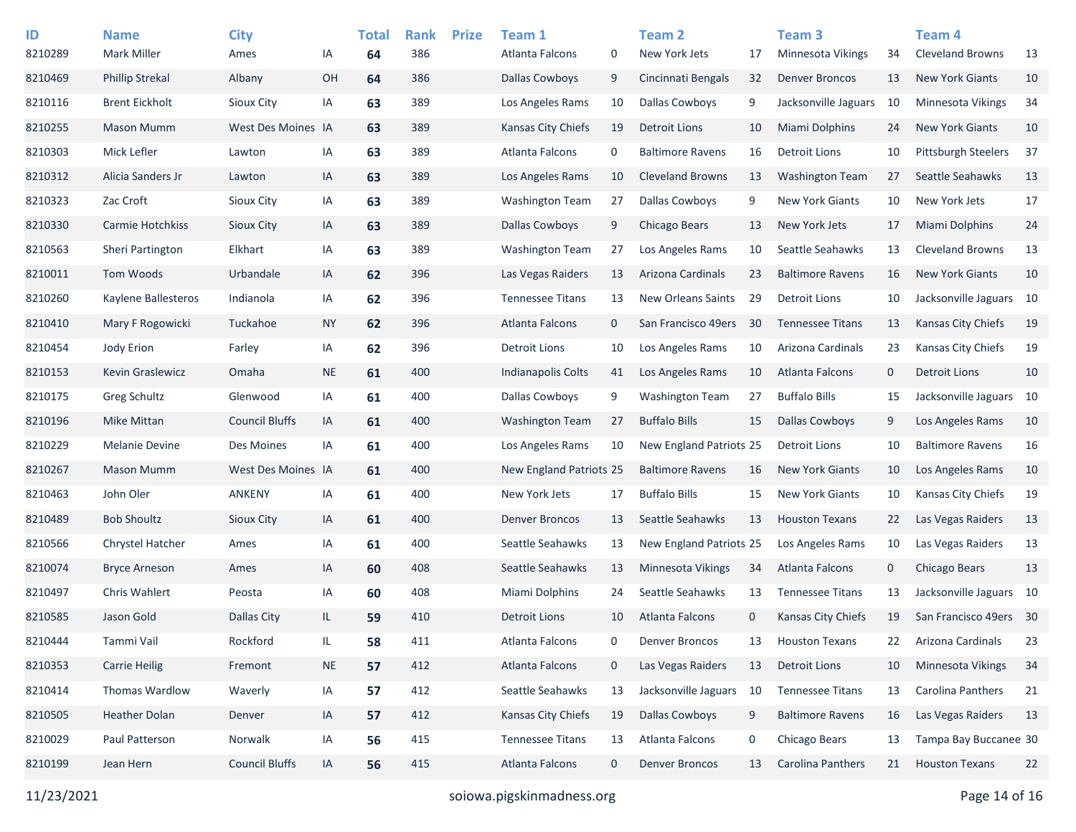| ID      | <b>Name</b>             | <b>City</b>           |           | <b>Total</b> | <b>Rank</b> | <b>Prize</b> | Team 1                  |             | Team 2                    |    | Team <sub>3</sub>       |             | Team 4                    |    |
|---------|-------------------------|-----------------------|-----------|--------------|-------------|--------------|-------------------------|-------------|---------------------------|----|-------------------------|-------------|---------------------------|----|
| 8210289 | <b>Mark Miller</b>      | Ames                  | IA        | 64           | 386         |              | Atlanta Falcons         | 0           | New York Jets             | 17 | Minnesota Vikings       | 34          | <b>Cleveland Browns</b>   | 13 |
| 8210469 | <b>Phillip Strekal</b>  | Albany                | OH        | 64           | 386         |              | <b>Dallas Cowboys</b>   | 9           | Cincinnati Bengals        | 32 | <b>Denver Broncos</b>   | 13          | <b>New York Giants</b>    | 10 |
| 8210116 | <b>Brent Eickholt</b>   | Sioux City            | IA        | 63           | 389         |              | Los Angeles Rams        | 10          | <b>Dallas Cowboys</b>     | 9  | Jacksonville Jaguars    | 10          | Minnesota Vikings         | 34 |
| 8210255 | <b>Mason Mumm</b>       | West Des Moines IA    |           | 63           | 389         |              | Kansas City Chiefs      | 19          | Detroit Lions             | 10 | Miami Dolphins          | 24          | <b>New York Giants</b>    | 10 |
| 8210303 | Mick Lefler             | Lawton                | IA        | 63           | 389         |              | Atlanta Falcons         | 0           | <b>Baltimore Ravens</b>   | 16 | <b>Detroit Lions</b>    | 10          | Pittsburgh Steelers       | 37 |
| 8210312 | Alicia Sanders Jr       | Lawton                | IA        | 63           | 389         |              | Los Angeles Rams        | 10          | <b>Cleveland Browns</b>   | 13 | <b>Washington Team</b>  | 27          | Seattle Seahawks          | 13 |
| 8210323 | Zac Croft               | Sioux City            | IA        | 63           | 389         |              | <b>Washington Team</b>  | 27          | <b>Dallas Cowboys</b>     | 9  | <b>New York Giants</b>  | 10          | New York Jets             | 17 |
| 8210330 | <b>Carmie Hotchkiss</b> | Sioux City            | IA        | 63           | 389         |              | <b>Dallas Cowboys</b>   | 9           | Chicago Bears             | 13 | New York Jets           | 17          | Miami Dolphins            | 24 |
| 8210563 | Sheri Partington        | Elkhart               | IA        | 63           | 389         |              | <b>Washington Team</b>  | 27          | Los Angeles Rams          | 10 | Seattle Seahawks        | 13          | <b>Cleveland Browns</b>   | 13 |
| 8210011 | <b>Tom Woods</b>        | Urbandale             | IA        | 62           | 396         |              | Las Vegas Raiders       | 13          | Arizona Cardinals         | 23 | <b>Baltimore Ravens</b> | 16          | <b>New York Giants</b>    | 10 |
| 8210260 | Kaylene Ballesteros     | Indianola             | IA        | 62           | 396         |              | <b>Tennessee Titans</b> | 13          | <b>New Orleans Saints</b> | 29 | <b>Detroit Lions</b>    | 10          | Jacksonville Jaguars 10   |    |
| 8210410 | Mary F Rogowicki        | Tuckahoe              | <b>NY</b> | 62           | 396         |              | Atlanta Falcons         | $\mathbf 0$ | San Francisco 49ers       | 30 | <b>Tennessee Titans</b> | 13          | <b>Kansas City Chiefs</b> | 19 |
| 8210454 | Jody Erion              | Farley                | IA        | 62           | 396         |              | <b>Detroit Lions</b>    | 10          | Los Angeles Rams          | 10 | Arizona Cardinals       | 23          | Kansas City Chiefs        | 19 |
| 8210153 | Kevin Graslewicz        | Omaha                 | <b>NE</b> | 61           | 400         |              | Indianapolis Colts      | 41          | Los Angeles Rams          | 10 | <b>Atlanta Falcons</b>  | $\mathbf 0$ | <b>Detroit Lions</b>      | 10 |
| 8210175 | Greg Schultz            | Glenwood              | IA        | 61           | 400         |              | <b>Dallas Cowboys</b>   | 9           | <b>Washington Team</b>    | 27 | <b>Buffalo Bills</b>    | 15          | Jacksonville Jaguars 10   |    |
| 8210196 | <b>Mike Mittan</b>      | <b>Council Bluffs</b> | IA        | 61           | 400         |              | <b>Washington Team</b>  | 27          | <b>Buffalo Bills</b>      | 15 | Dallas Cowboys          | 9           | Los Angeles Rams          | 10 |
| 8210229 | <b>Melanie Devine</b>   | Des Moines            | IA        | 61           | 400         |              | Los Angeles Rams        | 10          | New England Patriots 25   |    | <b>Detroit Lions</b>    | 10          | <b>Baltimore Ravens</b>   | 16 |
| 8210267 | <b>Mason Mumm</b>       | West Des Moines IA    |           | 61           | 400         |              | New England Patriots 25 |             | <b>Baltimore Ravens</b>   | 16 | <b>New York Giants</b>  | 10          | Los Angeles Rams          | 10 |
| 8210463 | John Oler               | <b>ANKENY</b>         | IA        | 61           | 400         |              | New York Jets           | 17          | <b>Buffalo Bills</b>      | 15 | <b>New York Giants</b>  | 10          | Kansas City Chiefs        | 19 |
| 8210489 | <b>Bob Shoultz</b>      | Sioux City            | IA        | 61           | 400         |              | <b>Denver Broncos</b>   | 13          | Seattle Seahawks          | 13 | <b>Houston Texans</b>   | 22          | Las Vegas Raiders         | 13 |
| 8210566 | Chrystel Hatcher        | Ames                  | IA        | 61           | 400         |              | Seattle Seahawks        | 13          | New England Patriots 25   |    | Los Angeles Rams        | 10          | Las Vegas Raiders         | 13 |
| 8210074 | <b>Bryce Arneson</b>    | Ames                  | IA        | 60           | 408         |              | Seattle Seahawks        | 13          | <b>Minnesota Vikings</b>  | 34 | Atlanta Falcons         | $\mathbf 0$ | <b>Chicago Bears</b>      | 13 |
| 8210497 | <b>Chris Wahlert</b>    | Peosta                | IA        | 60           | 408         |              | <b>Miami Dolphins</b>   | 24          | Seattle Seahawks          | 13 | <b>Tennessee Titans</b> | 13          | Jacksonville Jaguars 10   |    |
| 8210585 | Jason Gold              | Dallas City           | IL.       | 59           | 410         |              | <b>Detroit Lions</b>    | 10          | <b>Atlanta Falcons</b>    | 0  | Kansas City Chiefs      | 19          | San Francisco 49ers 30    |    |
| 8210444 | Tammi Vail              | Rockford              | IL.       | 58           | 411         |              | Atlanta Falcons         | 0           | <b>Denver Broncos</b>     | 13 | <b>Houston Texans</b>   | 22          | Arizona Cardinals         | 23 |
| 8210353 | <b>Carrie Heilig</b>    | Fremont               | $\sf NE$  | 57           | 412         |              | Atlanta Falcons         | $\mathbf 0$ | Las Vegas Raiders         | 13 | <b>Detroit Lions</b>    | 10          | Minnesota Vikings         | 34 |
| 8210414 | Thomas Wardlow          | Waverly               | IA        | 57           | 412         |              | Seattle Seahawks        | 13          | Jacksonville Jaguars 10   |    | <b>Tennessee Titans</b> | 13          | Carolina Panthers         | 21 |
| 8210505 | <b>Heather Dolan</b>    | Denver                | IA        | 57           | 412         |              | Kansas City Chiefs      | 19          | <b>Dallas Cowboys</b>     | 9  | <b>Baltimore Ravens</b> | 16          | Las Vegas Raiders         | 13 |
| 8210029 | Paul Patterson          | Norwalk               | IA        | 56           | 415         |              | <b>Tennessee Titans</b> | 13          | Atlanta Falcons           | 0  | Chicago Bears           | 13          | Tampa Bay Buccanee 30     |    |
| 8210199 | Jean Hern               | <b>Council Bluffs</b> | IA        | 56           | 415         |              | Atlanta Falcons         | $\mathbf 0$ | <b>Denver Broncos</b>     | 13 | Carolina Panthers       | 21          | <b>Houston Texans</b>     | 22 |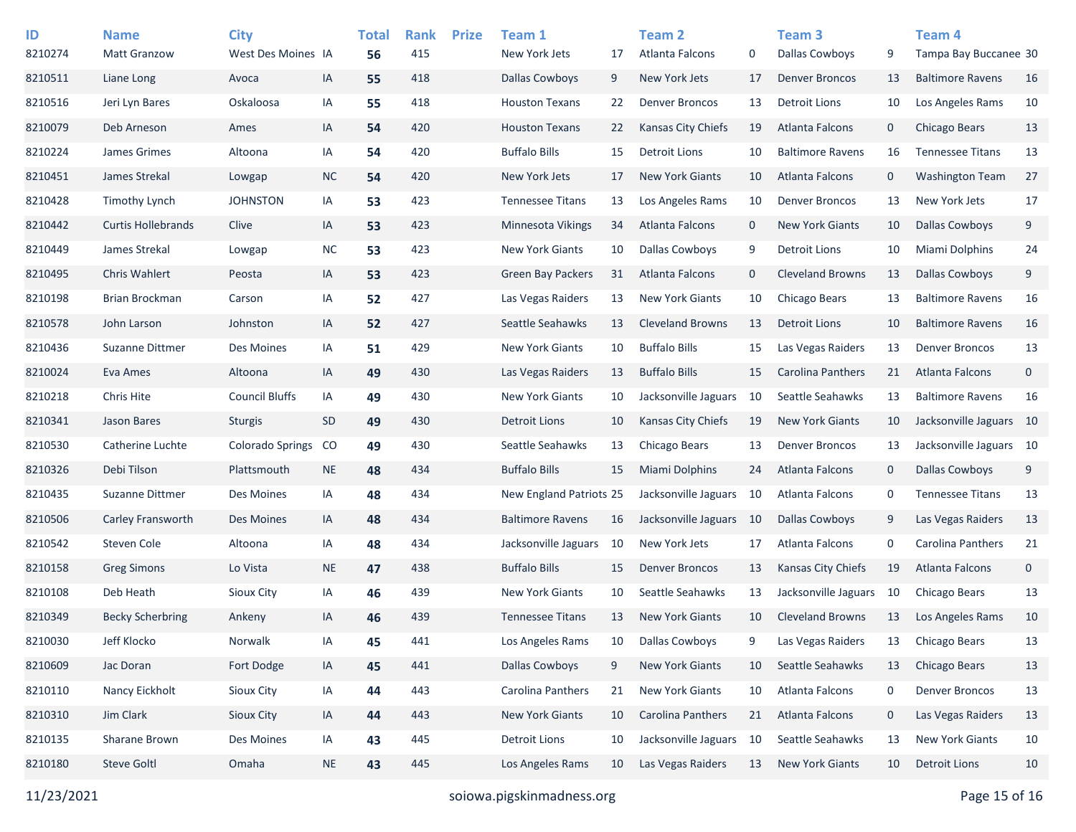| ID      | <b>Name</b>               | <b>City</b>             |           | <b>Total</b> | <b>Rank</b> | <b>Prize</b> | Team 1                  |    | Team 2                  |             | Team <sub>3</sub>        |             | Team 4                  |             |
|---------|---------------------------|-------------------------|-----------|--------------|-------------|--------------|-------------------------|----|-------------------------|-------------|--------------------------|-------------|-------------------------|-------------|
| 8210274 | <b>Matt Granzow</b>       | West Des Moines IA      |           | 56           | 415         |              | New York Jets           | 17 | Atlanta Falcons         | 0           | <b>Dallas Cowboys</b>    | 9           | Tampa Bay Buccanee 30   |             |
| 8210511 | Liane Long                | Avoca                   | IA        | 55           | 418         |              | <b>Dallas Cowboys</b>   | 9  | New York Jets           | 17          | <b>Denver Broncos</b>    | 13          | <b>Baltimore Ravens</b> | 16          |
| 8210516 | Jeri Lyn Bares            | Oskaloosa               | IA        | 55           | 418         |              | <b>Houston Texans</b>   | 22 | <b>Denver Broncos</b>   | 13          | <b>Detroit Lions</b>     | 10          | Los Angeles Rams        | 10          |
| 8210079 | Deb Arneson               | Ames                    | IA        | 54           | 420         |              | <b>Houston Texans</b>   | 22 | Kansas City Chiefs      | 19          | <b>Atlanta Falcons</b>   | $\mathbf 0$ | <b>Chicago Bears</b>    | 13          |
| 8210224 | James Grimes              | Altoona                 | IA        | 54           | 420         |              | <b>Buffalo Bills</b>    | 15 | Detroit Lions           | 10          | <b>Baltimore Ravens</b>  | 16          | <b>Tennessee Titans</b> | 13          |
| 8210451 | James Strekal             | Lowgap                  | <b>NC</b> | 54           | 420         |              | New York Jets           | 17 | <b>New York Giants</b>  | 10          | <b>Atlanta Falcons</b>   | $\mathbf 0$ | <b>Washington Team</b>  | 27          |
| 8210428 | Timothy Lynch             | <b>JOHNSTON</b>         | IA        | 53           | 423         |              | <b>Tennessee Titans</b> | 13 | Los Angeles Rams        | 10          | <b>Denver Broncos</b>    | 13          | New York Jets           | 17          |
| 8210442 | <b>Curtis Hollebrands</b> | Clive                   | IA        | 53           | 423         |              | Minnesota Vikings       | 34 | Atlanta Falcons         | $\mathbf 0$ | <b>New York Giants</b>   | 10          | <b>Dallas Cowboys</b>   | 9           |
| 8210449 | James Strekal             | Lowgap                  | <b>NC</b> | 53           | 423         |              | <b>New York Giants</b>  | 10 | <b>Dallas Cowboys</b>   | 9           | Detroit Lions            | 10          | Miami Dolphins          | 24          |
| 8210495 | <b>Chris Wahlert</b>      | Peosta                  | IA        | 53           | 423         |              | Green Bay Packers       | 31 | Atlanta Falcons         | $\mathbf 0$ | <b>Cleveland Browns</b>  | 13          | <b>Dallas Cowboys</b>   | 9           |
| 8210198 | Brian Brockman            | Carson                  | IA        | 52           | 427         |              | Las Vegas Raiders       | 13 | <b>New York Giants</b>  | 10          | Chicago Bears            | 13          | <b>Baltimore Ravens</b> | 16          |
| 8210578 | John Larson               | Johnston                | IA        | 52           | 427         |              | Seattle Seahawks        | 13 | <b>Cleveland Browns</b> | 13          | <b>Detroit Lions</b>     | 10          | <b>Baltimore Ravens</b> | 16          |
| 8210436 | Suzanne Dittmer           | Des Moines              | IA        | 51           | 429         |              | <b>New York Giants</b>  | 10 | <b>Buffalo Bills</b>    | 15          | Las Vegas Raiders        | 13          | <b>Denver Broncos</b>   | 13          |
| 8210024 | Eva Ames                  | Altoona                 | IA        | 49           | 430         |              | Las Vegas Raiders       | 13 | <b>Buffalo Bills</b>    | 15          | <b>Carolina Panthers</b> | 21          | Atlanta Falcons         | 0           |
| 8210218 | Chris Hite                | <b>Council Bluffs</b>   | IA        | 49           | 430         |              | <b>New York Giants</b>  | 10 | Jacksonville Jaguars    | 10          | Seattle Seahawks         | 13          | <b>Baltimore Ravens</b> | 16          |
| 8210341 | Jason Bares               | Sturgis                 | SD        | 49           | 430         |              | <b>Detroit Lions</b>    | 10 | Kansas City Chiefs      | 19          | <b>New York Giants</b>   | 10          | Jacksonville Jaguars 10 |             |
| 8210530 | Catherine Luchte          | <b>Colorado Springs</b> | CO        | 49           | 430         |              | Seattle Seahawks        | 13 | Chicago Bears           | 13          | <b>Denver Broncos</b>    | 13          | Jacksonville Jaguars 10 |             |
| 8210326 | Debi Tilson               | Plattsmouth             | <b>NE</b> | 48           | 434         |              | <b>Buffalo Bills</b>    | 15 | Miami Dolphins          | 24          | <b>Atlanta Falcons</b>   | $\mathbf 0$ | <b>Dallas Cowboys</b>   | 9           |
| 8210435 | Suzanne Dittmer           | Des Moines              | IA        | 48           | 434         |              | New England Patriots 25 |    | Jacksonville Jaguars    | 10          | Atlanta Falcons          | 0           | <b>Tennessee Titans</b> | 13          |
| 8210506 | Carley Fransworth         | Des Moines              | IA        | 48           | 434         |              | <b>Baltimore Ravens</b> | 16 | Jacksonville Jaguars 10 |             | Dallas Cowboys           | 9           | Las Vegas Raiders       | 13          |
| 8210542 | Steven Cole               | Altoona                 | IA        | 48           | 434         |              | Jacksonville Jaguars    | 10 | New York Jets           | 17          | Atlanta Falcons          | 0           | Carolina Panthers       | 21          |
| 8210158 | <b>Greg Simons</b>        | Lo Vista                | <b>NE</b> | 47           | 438         |              | <b>Buffalo Bills</b>    | 15 | <b>Denver Broncos</b>   | 13          | Kansas City Chiefs       | 19          | Atlanta Falcons         | $\mathbf 0$ |
| 8210108 | Deb Heath                 | Sioux City              | IA        | 46           | 439         |              | <b>New York Giants</b>  | 10 | Seattle Seahawks        | 13          | Jacksonville Jaguars     | 10          | Chicago Bears           | 13          |
| 8210349 | <b>Becky Scherbring</b>   | Ankeny                  | IA        | 46           | 439         |              | <b>Tennessee Titans</b> | 13 | <b>New York Giants</b>  | 10          | <b>Cleveland Browns</b>  | 13          | Los Angeles Rams        | 10          |
| 8210030 | Jeff Klocko               | Norwalk                 | IA        | 45           | 441         |              | Los Angeles Rams        | 10 | <b>Dallas Cowboys</b>   | 9           | Las Vegas Raiders        | 13          | Chicago Bears           | 13          |
| 8210609 | Jac Doran                 | Fort Dodge              | IA        | 45           | 441         |              | <b>Dallas Cowboys</b>   | 9  | New York Giants         | 10          | Seattle Seahawks         | 13          | Chicago Bears           | 13          |
| 8210110 | Nancy Eickholt            | Sioux City              | IA        | 44           | 443         |              | Carolina Panthers       | 21 | New York Giants         | 10          | Atlanta Falcons          | 0           | <b>Denver Broncos</b>   | 13          |
| 8210310 | Jim Clark                 | Sioux City              | IA        | 44           | 443         |              | New York Giants         | 10 | Carolina Panthers       | 21          | Atlanta Falcons          | $\mathbf 0$ | Las Vegas Raiders       | 13          |
| 8210135 | Sharane Brown             | Des Moines              | IA        | 43           | 445         |              | <b>Detroit Lions</b>    | 10 | Jacksonville Jaguars 10 |             | Seattle Seahawks         | 13          | New York Giants         | 10          |
| 8210180 | <b>Steve Goltl</b>        | Omaha                   | <b>NE</b> | 43           | 445         |              | Los Angeles Rams        | 10 | Las Vegas Raiders       | 13          | New York Giants          | 10          | <b>Detroit Lions</b>    | 10          |